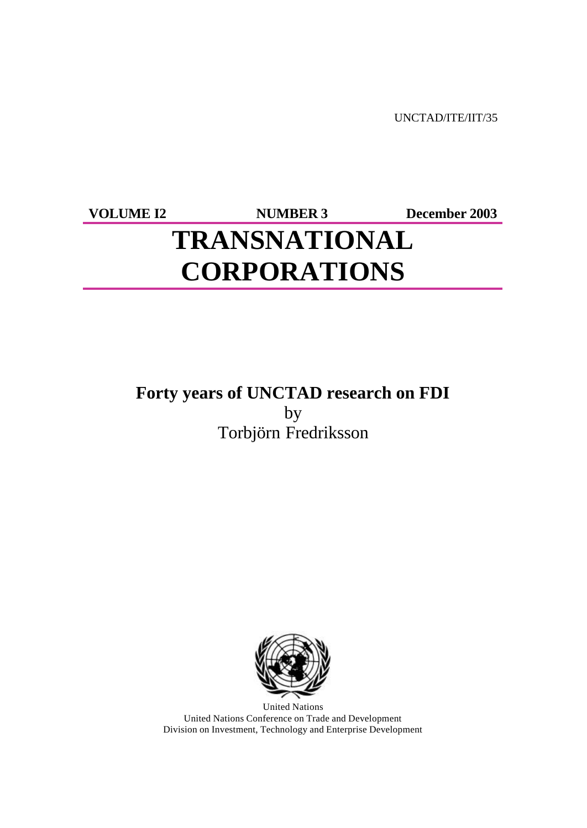UNCTAD/ITE/IIT/35

**VOLUME I2 NUMBER 3 December 2003**

# **TRANSNATIONAL CORPORATIONS**

# **Forty years of UNCTAD research on FDI** by

Torbjörn Fredriksson



United Nations United Nations Conference on Trade and Development Division on Investment, Technology and Enterprise Development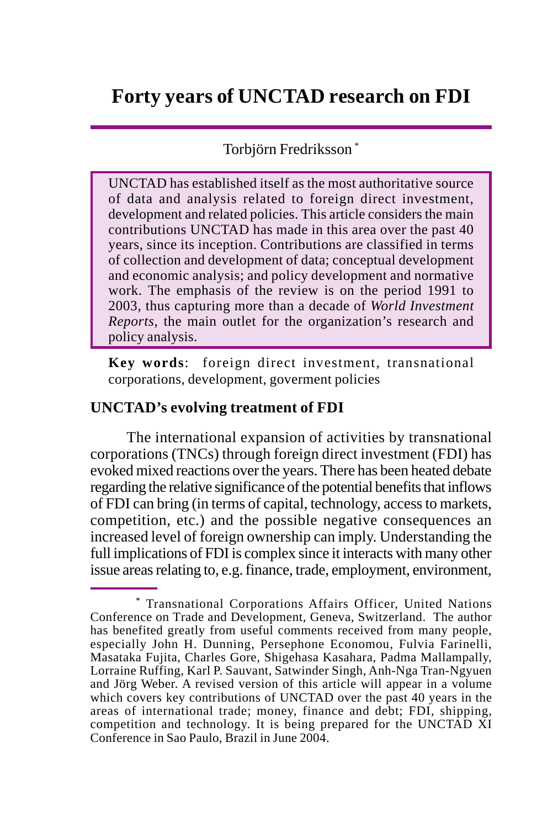# Torbjörn Fredriksson \*

UNCTAD has established itself as the most authoritative source of data and analysis related to foreign direct investment, development and related policies. This article considers the main contributions UNCTAD has made in this area over the past 40 years, since its inception. Contributions are classified in terms of collection and development of data; conceptual development and economic analysis; and policy development and normative work. The emphasis of the review is on the period 1991 to 2003, thus capturing more than a decade of *World Investment Reports*, the main outlet for the organization's research and policy analysis.

**Key words**: foreign direct investment, transnational corporations, development, goverment policies

#### **UNCTAD's evolving treatment of FDI**

The international expansion of activities by transnational corporations (TNCs) through foreign direct investment (FDI) has evoked mixed reactions over the years. There has been heated debate regarding the relative significance of the potential benefits that inflows of FDI can bring (in terms of capital, technology, access to markets, competition, etc.) and the possible negative consequences an increased level of foreign ownership can imply. Understanding the full implications of FDI is complex since it interacts with many other issue areas relating to, e.g. finance, trade, employment, environment,

<sup>\*</sup> Transnational Corporations Affairs Officer, United Nations Conference on Trade and Development, Geneva, Switzerland. The author has benefited greatly from useful comments received from many people, especially John H. Dunning, Persephone Economou, Fulvia Farinelli, Masataka Fujita, Charles Gore, Shigehasa Kasahara, Padma Mallampally, Lorraine Ruffing, Karl P. Sauvant, Satwinder Singh, Anh-Nga Tran-Ngyuen and Jörg Weber. A revised version of this article will appear in a volume which covers key contributions of UNCTAD over the past 40 years in the areas of international trade; money, finance and debt; FDI, shipping, competition and technology. It is being prepared for the UNCTAD XI Conference in Sao Paulo, Brazil in June 2004.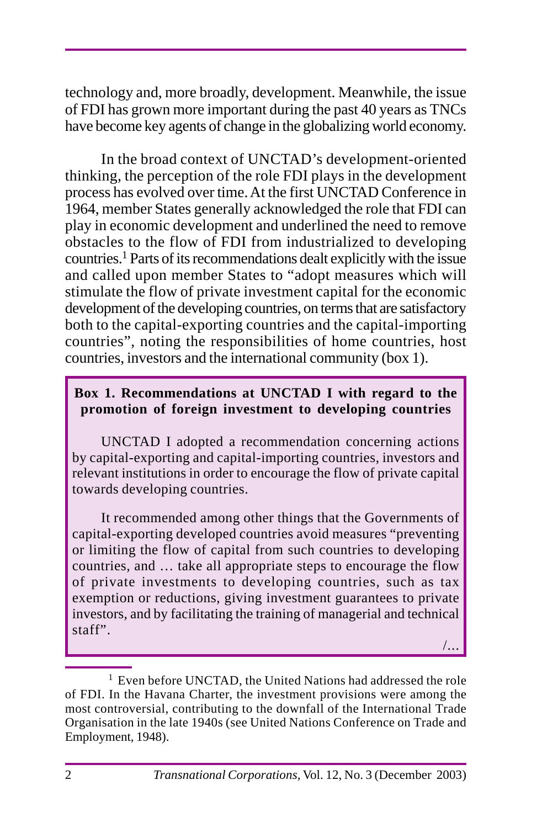technology and, more broadly, development. Meanwhile, the issue of FDI has grown more important during the past 40 years as TNCs have become key agents of change in the globalizing world economy.

In the broad context of UNCTAD's development-oriented thinking, the perception of the role FDI plays in the development process has evolved over time. At the first UNCTAD Conference in 1964, member States generally acknowledged the role that FDI can play in economic development and underlined the need to remove obstacles to the flow of FDI from industrialized to developing countries.1 Parts of its recommendations dealt explicitly with the issue and called upon member States to "adopt measures which will stimulate the flow of private investment capital for the economic development of the developing countries, on terms that are satisfactory both to the capital-exporting countries and the capital-importing countries", noting the responsibilities of home countries, host countries, investors and the international community (box 1).

#### **Box 1. Recommendations at UNCTAD I with regard to the promotion of foreign investment to developing countries**

UNCTAD I adopted a recommendation concerning actions by capital-exporting and capital-importing countries, investors and relevant institutions in order to encourage the flow of private capital towards developing countries.

It recommended among other things that the Governments of capital-exporting developed countries avoid measures "preventing or limiting the flow of capital from such countries to developing countries, and … take all appropriate steps to encourage the flow of private investments to developing countries, such as tax exemption or reductions, giving investment guarantees to private investors, and by facilitating the training of managerial and technical staff".

/...

 $1$  Even before UNCTAD, the United Nations had addressed the role of FDI. In the Havana Charter, the investment provisions were among the most controversial, contributing to the downfall of the International Trade Organisation in the late 1940s (see United Nations Conference on Trade and Employment, 1948).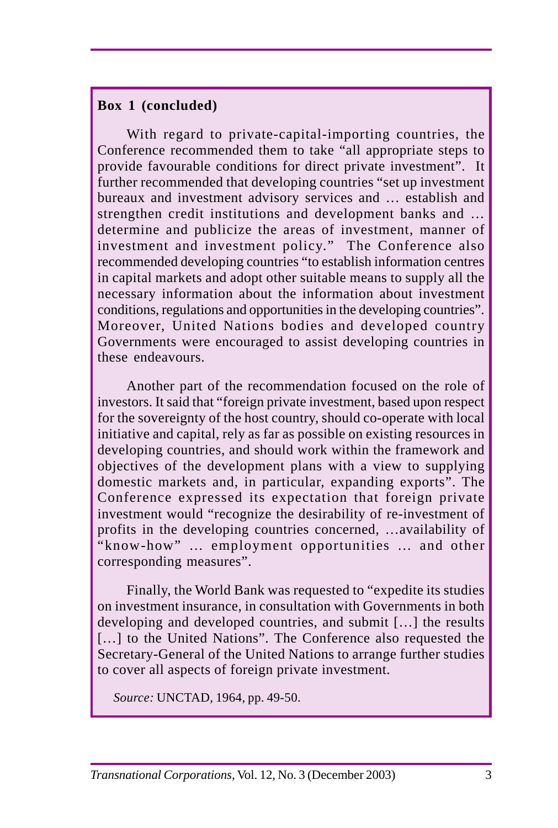#### **Box 1 (concluded)**

With regard to private-capital-importing countries, the Conference recommended them to take "all appropriate steps to provide favourable conditions for direct private investment". It further recommended that developing countries "set up investment bureaux and investment advisory services and … establish and strengthen credit institutions and development banks and … determine and publicize the areas of investment, manner of investment and investment policy." The Conference also recommended developing countries "to establish information centres in capital markets and adopt other suitable means to supply all the necessary information about the information about investment conditions, regulations and opportunities in the developing countries". Moreover, United Nations bodies and developed country Governments were encouraged to assist developing countries in these endeavours.

Another part of the recommendation focused on the role of investors. It said that "foreign private investment, based upon respect for the sovereignty of the host country, should co-operate with local initiative and capital, rely as far as possible on existing resources in developing countries, and should work within the framework and objectives of the development plans with a view to supplying domestic markets and, in particular, expanding exports". The Conference expressed its expectation that foreign private investment would "recognize the desirability of re-investment of profits in the developing countries concerned, …availability of "know-how" … employment opportunities … and other corresponding measures".

Finally, the World Bank was requested to "expedite its studies on investment insurance, in consultation with Governments in both developing and developed countries, and submit […] the results [...] to the United Nations". The Conference also requested the Secretary-General of the United Nations to arrange further studies to cover all aspects of foreign private investment.

 *Source:* UNCTAD, 1964, pp. 49-50.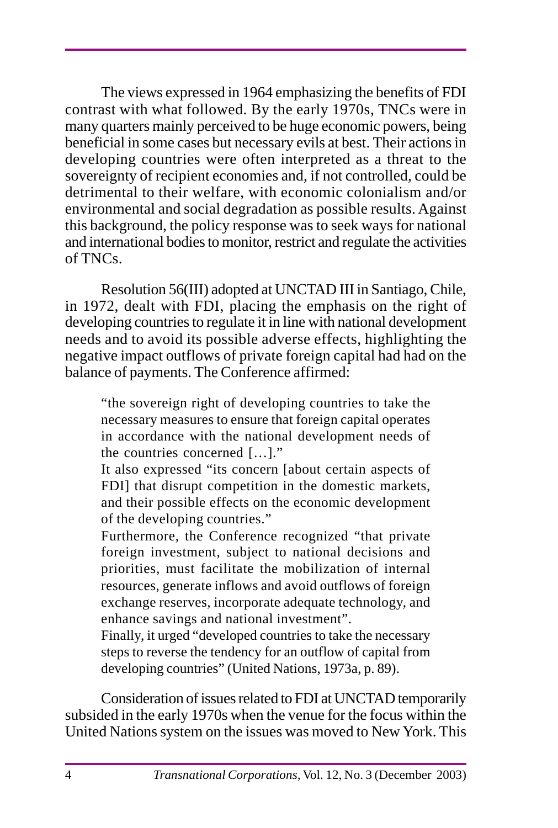The views expressed in 1964 emphasizing the benefits of FDI contrast with what followed. By the early 1970s, TNCs were in many quarters mainly perceived to be huge economic powers, being beneficial in some cases but necessary evils at best. Their actions in developing countries were often interpreted as a threat to the sovereignty of recipient economies and, if not controlled, could be detrimental to their welfare, with economic colonialism and/or environmental and social degradation as possible results. Against this background, the policy response was to seek ways for national and international bodies to monitor, restrict and regulate the activities of TNCs.

Resolution 56(III) adopted at UNCTAD III in Santiago, Chile, in 1972, dealt with FDI, placing the emphasis on the right of developing countries to regulate it in line with national development needs and to avoid its possible adverse effects, highlighting the negative impact outflows of private foreign capital had had on the balance of payments. The Conference affirmed:

"the sovereign right of developing countries to take the necessary measures to ensure that foreign capital operates in accordance with the national development needs of the countries concerned […]."

It also expressed "its concern [about certain aspects of FDI] that disrupt competition in the domestic markets, and their possible effects on the economic development of the developing countries."

Furthermore, the Conference recognized "that private foreign investment, subject to national decisions and priorities, must facilitate the mobilization of internal resources, generate inflows and avoid outflows of foreign exchange reserves, incorporate adequate technology, and enhance savings and national investment".

Finally, it urged "developed countries to take the necessary steps to reverse the tendency for an outflow of capital from developing countries" (United Nations, 1973a, p. 89).

Consideration of issues related to FDI at UNCTAD temporarily subsided in the early 1970s when the venue for the focus within the United Nations system on the issues was moved to New York. This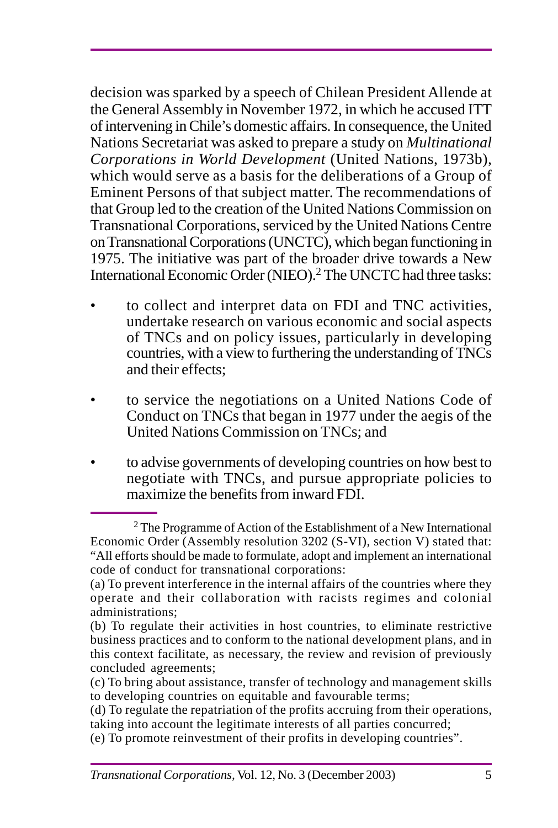decision was sparked by a speech of Chilean President Allende at the General Assembly in November 1972, in which he accused ITT of intervening in Chile's domestic affairs. In consequence, the United Nations Secretariat was asked to prepare a study on *Multinational Corporations in World Development* (United Nations, 1973b)*,* which would serve as a basis for the deliberations of a Group of Eminent Persons of that subject matter. The recommendations of that Group led to the creation of the United Nations Commission on Transnational Corporations, serviced by the United Nations Centre on Transnational Corporations (UNCTC), which began functioning in 1975. The initiative was part of the broader drive towards a New International Economic Order (NIEO).<sup>2</sup> The UNCTC had three tasks:

- to collect and interpret data on FDI and TNC activities, undertake research on various economic and social aspects of TNCs and on policy issues, particularly in developing countries, with a view to furthering the understanding of TNCs and their effects;
- to service the negotiations on a United Nations Code of Conduct on TNCs that began in 1977 under the aegis of the United Nations Commission on TNCs; and
- to advise governments of developing countries on how best to negotiate with TNCs, and pursue appropriate policies to maximize the benefits from inward FDI.

<sup>&</sup>lt;sup>2</sup> The Programme of Action of the Establishment of a New International Economic Order (Assembly resolution 3202 (S-VI), section V) stated that: "All efforts should be made to formulate, adopt and implement an international code of conduct for transnational corporations:

<sup>(</sup>a) To prevent interference in the internal affairs of the countries where they operate and their collaboration with racists regimes and colonial administrations;

<sup>(</sup>b) To regulate their activities in host countries, to eliminate restrictive business practices and to conform to the national development plans, and in this context facilitate, as necessary, the review and revision of previously concluded agreements;

<sup>(</sup>c) To bring about assistance, transfer of technology and management skills to developing countries on equitable and favourable terms;

<sup>(</sup>d) To regulate the repatriation of the profits accruing from their operations, taking into account the legitimate interests of all parties concurred;

<sup>(</sup>e) To promote reinvestment of their profits in developing countries".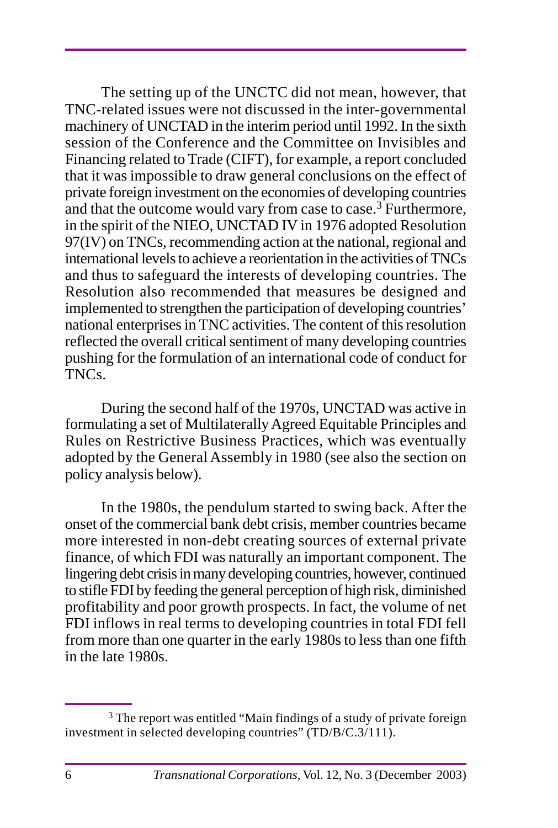The setting up of the UNCTC did not mean, however, that TNC-related issues were not discussed in the inter-governmental machinery of UNCTAD in the interim period until 1992. In the sixth session of the Conference and the Committee on Invisibles and Financing related to Trade (CIFT), for example, a report concluded that it was impossible to draw general conclusions on the effect of private foreign investment on the economies of developing countries and that the outcome would vary from case to case.<sup>3</sup> Furthermore, in the spirit of the NIEO, UNCTAD IV in 1976 adopted Resolution 97(IV) on TNCs, recommending action at the national, regional and international levels to achieve a reorientation in the activities of TNCs and thus to safeguard the interests of developing countries. The Resolution also recommended that measures be designed and implemented to strengthen the participation of developing countries' national enterprises in TNC activities. The content of this resolution reflected the overall critical sentiment of many developing countries pushing for the formulation of an international code of conduct for TNCs.

During the second half of the 1970s, UNCTAD was active in formulating a set of Multilaterally Agreed Equitable Principles and Rules on Restrictive Business Practices, which was eventually adopted by the General Assembly in 1980 (see also the section on policy analysis below).

In the 1980s, the pendulum started to swing back. After the onset of the commercial bank debt crisis, member countries became more interested in non-debt creating sources of external private finance, of which FDI was naturally an important component. The lingering debt crisis in many developing countries, however, continued to stifle FDI by feeding the general perception of high risk, diminished profitability and poor growth prospects. In fact, the volume of net FDI inflows in real terms to developing countries in total FDI fell from more than one quarter in the early 1980s to less than one fifth in the late 1980s.

 $3$  The report was entitled "Main findings of a study of private foreign investment in selected developing countries" (TD/B/C.3/111).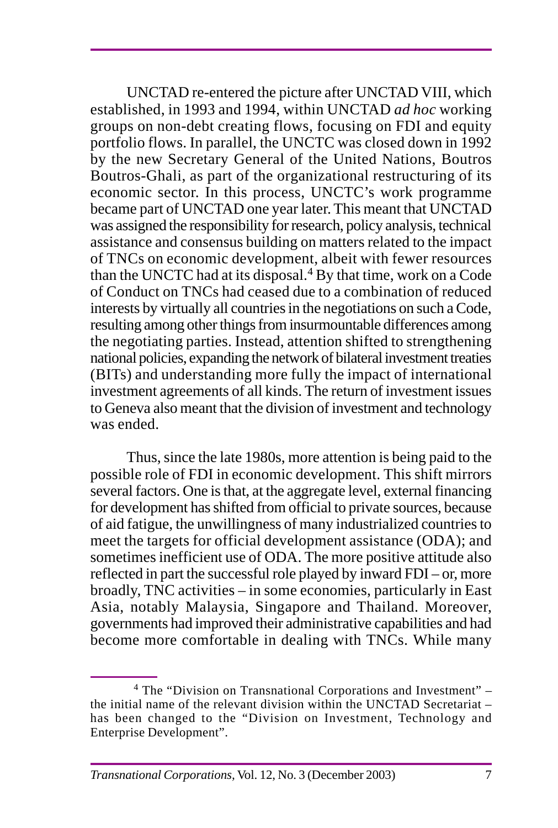UNCTAD re-entered the picture after UNCTAD VIII, which established, in 1993 and 1994, within UNCTAD *ad hoc* working groups on non-debt creating flows, focusing on FDI and equity portfolio flows. In parallel, the UNCTC was closed down in 1992 by the new Secretary General of the United Nations, Boutros Boutros-Ghali, as part of the organizational restructuring of its economic sector. In this process, UNCTC's work programme became part of UNCTAD one year later. This meant that UNCTAD was assigned the responsibility for research, policy analysis, technical assistance and consensus building on matters related to the impact of TNCs on economic development, albeit with fewer resources than the UNCTC had at its disposal.4 By that time, work on a Code of Conduct on TNCs had ceased due to a combination of reduced interests by virtually all countries in the negotiations on such a Code, resulting among other things from insurmountable differences among the negotiating parties. Instead, attention shifted to strengthening national policies, expanding the network of bilateral investment treaties (BITs) and understanding more fully the impact of international investment agreements of all kinds. The return of investment issues to Geneva also meant that the division of investment and technology was ended.

Thus, since the late 1980s, more attention is being paid to the possible role of FDI in economic development. This shift mirrors several factors. One is that, at the aggregate level, external financing for development has shifted from official to private sources, because of aid fatigue, the unwillingness of many industrialized countries to meet the targets for official development assistance (ODA); and sometimes inefficient use of ODA. The more positive attitude also reflected in part the successful role played by inward FDI – or, more broadly, TNC activities – in some economies, particularly in East Asia, notably Malaysia, Singapore and Thailand. Moreover, governments had improved their administrative capabilities and had become more comfortable in dealing with TNCs. While many

<sup>4</sup> The "Division on Transnational Corporations and Investment" – the initial name of the relevant division within the UNCTAD Secretariat – has been changed to the "Division on Investment, Technology and Enterprise Development".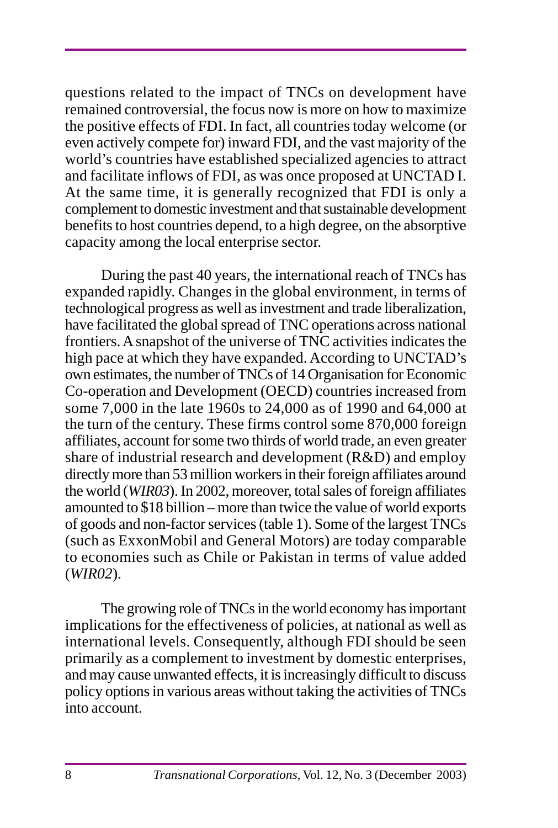questions related to the impact of TNCs on development have remained controversial, the focus now is more on how to maximize the positive effects of FDI. In fact, all countries today welcome (or even actively compete for) inward FDI, and the vast majority of the world's countries have established specialized agencies to attract and facilitate inflows of FDI, as was once proposed at UNCTAD I. At the same time, it is generally recognized that FDI is only a complement to domestic investment and that sustainable development benefits to host countries depend, to a high degree, on the absorptive capacity among the local enterprise sector.

During the past 40 years, the international reach of TNCs has expanded rapidly. Changes in the global environment, in terms of technological progress as well as investment and trade liberalization, have facilitated the global spread of TNC operations across national frontiers. A snapshot of the universe of TNC activities indicates the high pace at which they have expanded. According to UNCTAD's own estimates, the number of TNCs of 14 Organisation for Economic Co-operation and Development (OECD) countries increased from some 7,000 in the late 1960s to 24,000 as of 1990 and 64,000 at the turn of the century. These firms control some 870,000 foreign affiliates, account for some two thirds of world trade, an even greater share of industrial research and development (R&D) and employ directly more than 53 million workers in their foreign affiliates around the world (*WIR03*).In 2002, moreover, total sales of foreign affiliates amounted to \$18 billion – more than twice the value of world exports of goods and non-factor services (table 1). Some of the largest TNCs (such as ExxonMobil and General Motors) are today comparable to economies such as Chile or Pakistan in terms of value added (*WIR02*).

The growing role of TNCs in the world economy has important implications for the effectiveness of policies, at national as well as international levels. Consequently, although FDI should be seen primarily as a complement to investment by domestic enterprises, and may cause unwanted effects, it is increasingly difficult to discuss policy options in various areas without taking the activities of TNCs into account.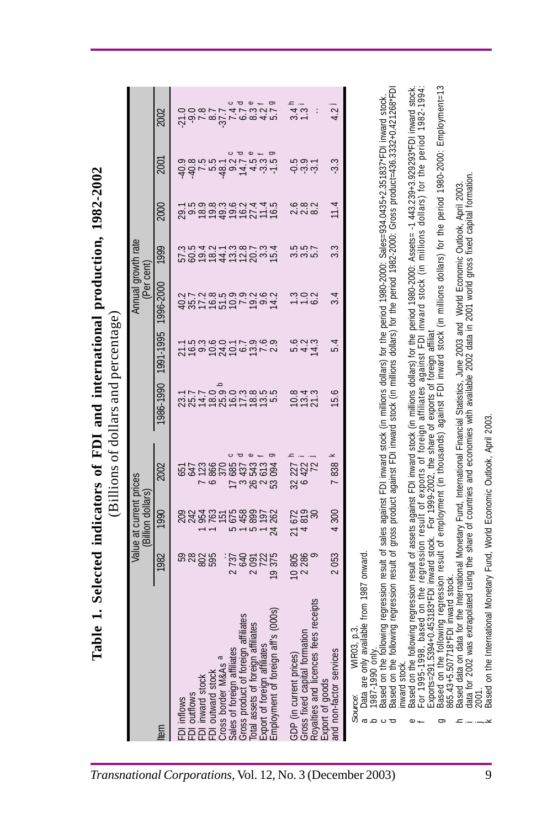| able 1. Selected indicators of FDI and international production, 1982-2002                                                                                                                                                                                                                                                                      |                              |                                              | (Billions of dollars and percentage) |                       |                               |                                  |                             |                            |                                                                |                        |
|-------------------------------------------------------------------------------------------------------------------------------------------------------------------------------------------------------------------------------------------------------------------------------------------------------------------------------------------------|------------------------------|----------------------------------------------|--------------------------------------|-----------------------|-------------------------------|----------------------------------|-----------------------------|----------------------------|----------------------------------------------------------------|------------------------|
|                                                                                                                                                                                                                                                                                                                                                 |                              | Value at current prices<br>(Billion dollars) |                                      |                       |                               | Annual growth rate<br>(Per cent) |                             |                            |                                                                |                        |
| tem                                                                                                                                                                                                                                                                                                                                             | 1982                         | 1990                                         | 2002                                 | 1986-1990             | 1991-1995                     | 1996-2000                        | 1999                        | 2000                       | 2001                                                           | 2002                   |
| outflows<br>inflows<br>$\overline{a}$<br>즢                                                                                                                                                                                                                                                                                                      | នីននី                        | <b>22525</b>                                 | 657<br>647                           | 23.7<br>25.7          |                               |                                  |                             | 29.1                       | $-40.9$                                                        | 21.0                   |
| FDI inward stoc                                                                                                                                                                                                                                                                                                                                 |                              |                                              |                                      | 14.7                  |                               |                                  |                             |                            | $4 - 4$<br>$9 - 4$<br>$9 - 7$<br>$9 - 7$<br>$9 - 7$<br>$9 - 7$ | $\ddot{\sigma}$        |
| FDI outward stoc                                                                                                                                                                                                                                                                                                                                |                              |                                              | 7 123<br>6 866<br>370                |                       |                               |                                  |                             |                            |                                                                |                        |
| Cross border M&As a<br>Sales of foreign affiliate                                                                                                                                                                                                                                                                                               | 737<br>$\sim$                | 675<br>5                                     | $\circ$<br>685                       |                       |                               |                                  |                             |                            | $\circ$                                                        | $\circ$                |
| n affiliates<br>Šč<br>Gross product of foreig                                                                                                                                                                                                                                                                                                   |                              |                                              | ᅙ                                    |                       |                               |                                  |                             |                            | ᅙ                                                              |                        |
| affiliates<br>Total assets of foreig                                                                                                                                                                                                                                                                                                            | 640<br>$\sim$                | 458<br>899<br>5                              | $\omega$ +<br>3 437<br>26 543        |                       |                               |                                  |                             |                            | $\, \omega$                                                    | $\circ$                |
| affs (000s)<br>Export of foreign affilial<br>Employment of foreign                                                                                                                                                                                                                                                                              | 722<br>375<br>$\overline{P}$ | 197<br>262<br>24                             | g<br>2613<br>094<br>S3               | na consum<br>Coconsum | Thureointe ann<br>1990 - 1990 | <b>487か557からはかいかいからかい</b>        | 500124512015<br>20012452015 | <b>9898222716598989898</b> | 14.9.5                                                         | g<br>$4.2$<br>5.7      |
|                                                                                                                                                                                                                                                                                                                                                 |                              |                                              |                                      |                       |                               |                                  |                             |                            |                                                                |                        |
| nation<br>GDP (in current prices)<br>Gross fixed capital for                                                                                                                                                                                                                                                                                    | 10 805<br>2 286<br>9         | 819<br>672<br>21                             | 32 227<br>6 422<br>72                | 10.8<br>13.4          | 1944<br>1945                  | 1102<br>1103                     | 25.57<br>25.57              | 6 8 2<br>2 2 8 2           | ن ښان<br>د مر                                                  | $\frac{4}{3}$ .<br>7.3 |
| fees receipts<br>Royalties and licences<br>Export of goods                                                                                                                                                                                                                                                                                      |                              | 30                                           |                                      | 21.3                  |                               |                                  |                             |                            |                                                                | $\vdots$               |
| and non-factor services                                                                                                                                                                                                                                                                                                                         | 2053                         | 300<br>4                                     | 7838                                 | 15.6                  | 5.4                           | 3.4                              | 3.3                         | 11.4                       | $-3.3$                                                         | 1.2                    |
| 03, p.3.<br>WIR<br>Source:                                                                                                                                                                                                                                                                                                                      |                              |                                              |                                      |                       |                               |                                  |                             |                            |                                                                |                        |
| Data are only available from 1987 onward<br>l987-1990 on<br>ß<br>≏                                                                                                                                                                                                                                                                              |                              |                                              |                                      |                       |                               |                                  |                             |                            |                                                                |                        |
| ollowing regression result of sales against FDI inward stock (in millions dollars) for the period 1980-2000: Sales=934.0435+2.351837*FDI inward stock.<br>ollowing regression result of gross product against FDI inward stock (i<br>Based on the<br>Based on the                                                                               |                              |                                              |                                      |                       |                               |                                  |                             |                            |                                                                |                        |
| inward stock.                                                                                                                                                                                                                                                                                                                                   |                              |                                              |                                      |                       |                               |                                  |                             |                            |                                                                |                        |
| bllowing regression result of assets against FDI inward stock (in millions dollars) for the period 1980-2000: Assets - 1 443.239-3.929293*FDI inward stock.<br>8, based on the regression result of exports of foreign affiliates against FDI inward stock (in millions dollars) for the period 1982-1994.<br>$-0$ r 1995-195<br>Based on the 1 |                              |                                              |                                      |                       |                               |                                  |                             |                            |                                                                |                        |
| following regression result of employment (in thousands) against FDI inward stock (in millions dollars) for the period 1980-2000: Employment=13<br>94+0.453183*FDI inward stock. For 1999-2002, the share of exports of foreign affiliat<br>Based on the<br>Exports=291                                                                         |                              |                                              |                                      |                       |                               |                                  |                             |                            |                                                                |                        |
| 18°FDI inward stock<br>865.43+5.5077                                                                                                                                                                                                                                                                                                            |                              |                                              |                                      |                       |                               |                                  |                             |                            |                                                                |                        |
| ras extrapolated using the share of countries and economies with available 2002 data in 2001 world gross fixed capital formation.<br>data for the International Monetary Fund, International Financial Statistics, June 2003 and World Economic Outlook, April 2003.<br>Based data on<br>data for 2002                                          |                              |                                              |                                      |                       |                               |                                  |                             |                            |                                                                |                        |
| 2001.<br>Based on the International Monetary Fund, World Economic Outlook, April 2003.                                                                                                                                                                                                                                                          |                              |                                              |                                      |                       |                               |                                  |                             |                            |                                                                |                        |
|                                                                                                                                                                                                                                                                                                                                                 |                              |                                              |                                      |                       |                               |                                  |                             |                            |                                                                |                        |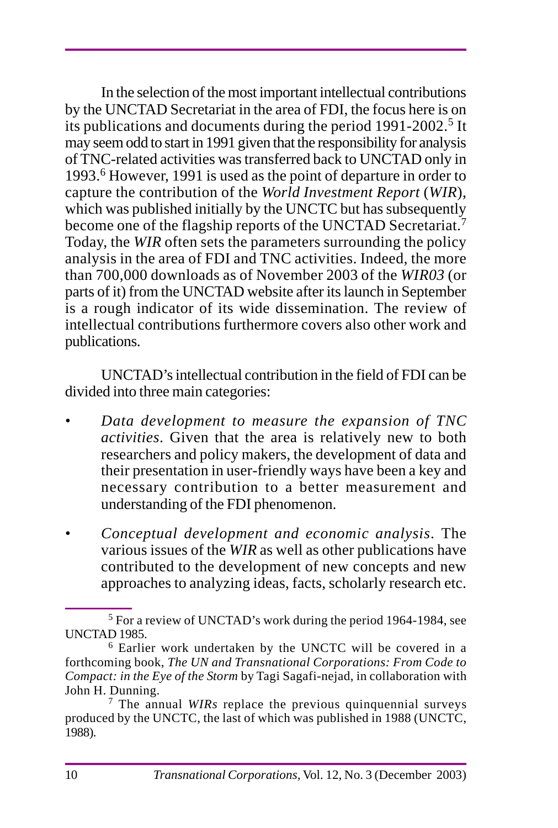In the selection of the most important intellectual contributions by the UNCTAD Secretariat in the area of FDI, the focus here is on its publications and documents during the period 1991-2002.<sup>5</sup> It may seem odd to start in 1991 given that the responsibility for analysis of TNC-related activities was transferred back to UNCTAD only in 1993.6 However, 1991 is used as the point of departure in order to capture the contribution of the *World Investment Report* (*WIR*), which was published initially by the UNCTC but has subsequently become one of the flagship reports of the UNCTAD Secretariat.<sup>7</sup> Today, the *WIR* often sets the parameters surrounding the policy analysis in the area of FDI and TNC activities. Indeed, the more than 700,000 downloads as of November 2003 of the *WIR03* (or parts of it) from the UNCTAD website after its launch in September is a rough indicator of its wide dissemination. The review of intellectual contributions furthermore covers also other work and publications.

UNCTAD's intellectual contribution in the field of FDI can be divided into three main categories:

- *Data development to measure the expansion of TNC activities*. Given that the area is relatively new to both researchers and policy makers, the development of data and their presentation in user-friendly ways have been a key and necessary contribution to a better measurement and understanding of the FDI phenomenon.
- *Conceptual development and economic analysis*. The various issues of the *WIR* as well as other publications have contributed to the development of new concepts and new approaches to analyzing ideas, facts, scholarly research etc.

<sup>5</sup> For a review of UNCTAD's work during the period 1964-1984, see UNCTAD 1985.

<sup>6</sup> Earlier work undertaken by the UNCTC will be covered in a forthcoming book, *The UN and Transnational Corporations: From Code to Compact: in the Eye of the Storm* by Tagi Sagafi-nejad, in collaboration with John H. Dunning.

<sup>7</sup> The annual *WIRs* replace the previous quinquennial surveys produced by the UNCTC, the last of which was published in 1988 (UNCTC, 1988)*.*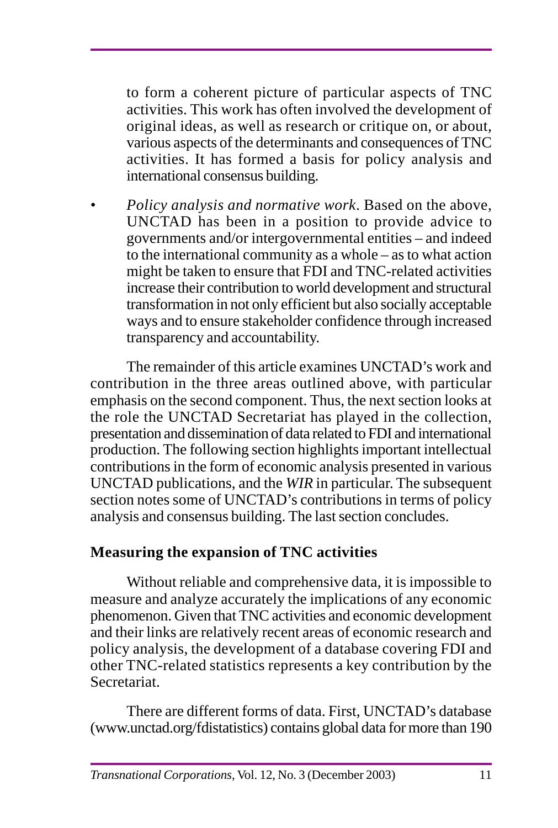to form a coherent picture of particular aspects of TNC activities. This work has often involved the development of original ideas, as well as research or critique on, or about, various aspects of the determinants and consequences of TNC activities. It has formed a basis for policy analysis and international consensus building.

*• Policy analysis and normative work*. Based on the above, UNCTAD has been in a position to provide advice to governments and/or intergovernmental entities – and indeed to the international community as a whole – as to what action might be taken to ensure that FDI and TNC-related activities increase their contribution to world development and structural transformation in not only efficient but also socially acceptable ways and to ensure stakeholder confidence through increased transparency and accountability.

The remainder of this article examines UNCTAD's work and contribution in the three areas outlined above, with particular emphasis on the second component. Thus, the next section looks at the role the UNCTAD Secretariat has played in the collection, presentation and dissemination of data related to FDI and international production. The following section highlights important intellectual contributions in the form of economic analysis presented in various UNCTAD publications, and the *WIR* in particular. The subsequent section notes some of UNCTAD's contributions in terms of policy analysis and consensus building. The last section concludes.

# **Measuring the expansion of TNC activities**

Without reliable and comprehensive data, it is impossible to measure and analyze accurately the implications of any economic phenomenon. Given that TNC activities and economic development and their links are relatively recent areas of economic research and policy analysis, the development of a database covering FDI and other TNC-related statistics represents a key contribution by the Secretariat.

There are different forms of data. First, UNCTAD's database (www.unctad.org/fdistatistics) contains global data for more than 190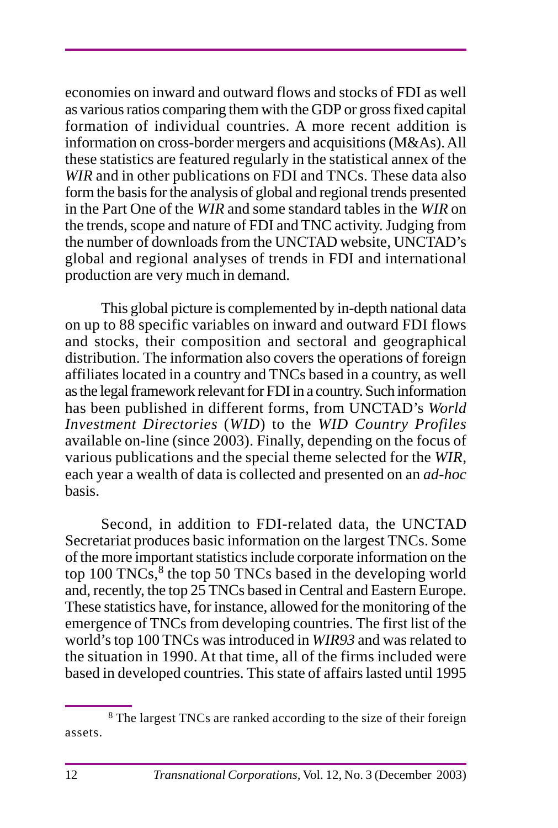economies on inward and outward flows and stocks of FDI as well as various ratios comparing them with the GDP or gross fixed capital formation of individual countries. A more recent addition is information on cross-border mergers and acquisitions (M&As). All these statistics are featured regularly in the statistical annex of the *WIR* and in other publications on FDI and TNCs. These data also form the basis for the analysis of global and regional trends presented in the Part One of the *WIR* and some standard tables in the *WIR* on the trends, scope and nature of FDI and TNC activity. Judging from the number of downloads from the UNCTAD website, UNCTAD's global and regional analyses of trends in FDI and international production are very much in demand.

This global picture is complemented by in-depth national data on up to 88 specific variables on inward and outward FDI flows and stocks, their composition and sectoral and geographical distribution. The information also covers the operations of foreign affiliates located in a country and TNCs based in a country, as well as the legal framework relevant for FDI in a country. Such information has been published in different forms, from UNCTAD's *World Investment Directories* (*WID*) to the *WID Country Profiles* available on-line (since 2003). Finally, depending on the focus of various publications and the special theme selected for the *WIR,* each year a wealth of data is collected and presented on an *ad-hoc* basis.

Second, in addition to FDI-related data, the UNCTAD Secretariat produces basic information on the largest TNCs. Some of the more important statistics include corporate information on the top 100 TNCs, $8$  the top 50 TNCs based in the developing world and, recently, the top 25 TNCs based in Central and Eastern Europe. These statistics have, for instance, allowed for the monitoring of the emergence of TNCs from developing countries. The first list of the world's top 100 TNCs was introduced in *WIR93* and was related to the situation in 1990. At that time, all of the firms included were based in developed countries. This state of affairs lasted until 1995

<sup>8</sup> The largest TNCs are ranked according to the size of their foreign assets.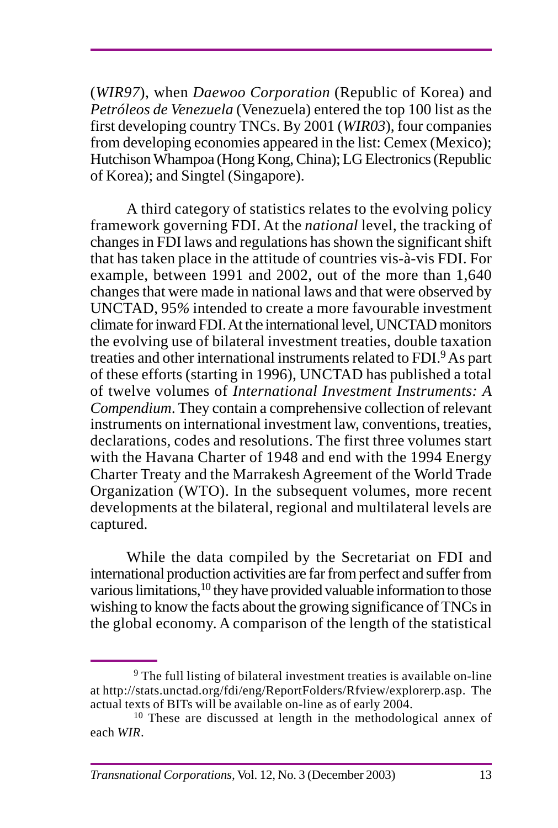(*WIR97*), when *Daewoo Corporation* (Republic of Korea) and *Petróleos de Venezuela* (Venezuela) entered the top 100 list as the first developing country TNCs. By 2001 (*WIR03*), four companies from developing economies appeared in the list: Cemex (Mexico); Hutchison Whampoa (Hong Kong, China); LG Electronics (Republic of Korea); and Singtel (Singapore).

A third category of statistics relates to the evolving policy framework governing FDI. At the *national* level, the tracking of changes in FDI laws and regulations has shown the significant shift that has taken place in the attitude of countries vis-à-vis FDI. For example, between 1991 and 2002, out of the more than 1,640 changes that were made in national laws and that were observed by UNCTAD, 95*%* intended to create a more favourable investment climate for inward FDI. At the international level, UNCTAD monitors the evolving use of bilateral investment treaties, double taxation treaties and other international instruments related to FDI.9 As part of these efforts (starting in 1996), UNCTAD has published a total of twelve volumes of *International Investment Instruments: A Compendium*. They contain a comprehensive collection of relevant instruments on international investment law, conventions, treaties, declarations, codes and resolutions. The first three volumes start with the Havana Charter of 1948 and end with the 1994 Energy Charter Treaty and the Marrakesh Agreement of the World Trade Organization (WTO). In the subsequent volumes, more recent developments at the bilateral, regional and multilateral levels are captured.

While the data compiled by the Secretariat on FDI and international production activities are far from perfect and suffer from various limitations,<sup>10</sup> they have provided valuable information to those wishing to know the facts about the growing significance of TNCs in the global economy. A comparison of the length of the statistical

<sup>9</sup> The full listing of bilateral investment treaties is available on-line at http://stats.unctad.org/fdi/eng/ReportFolders/Rfview/explorerp.asp. The actual texts of BITs will be available on-line as of early 2004.

<sup>&</sup>lt;sup>10</sup> These are discussed at length in the methodological annex of each *WIR*.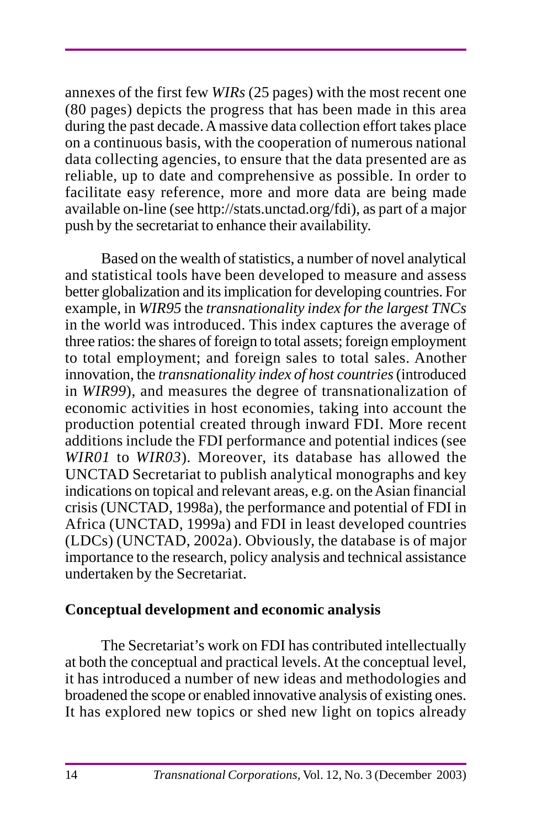annexes of the first few *WIRs* (25 pages) with the most recent one (80 pages) depicts the progress that has been made in this area during the past decade. A massive data collection effort takes place on a continuous basis, with the cooperation of numerous national data collecting agencies, to ensure that the data presented are as reliable, up to date and comprehensive as possible. In order to facilitate easy reference, more and more data are being made available on-line (see http://stats.unctad.org/fdi), as part of a major push by the secretariat to enhance their availability.

Based on the wealth of statistics, a number of novel analytical and statistical tools have been developed to measure and assess better globalization and its implication for developing countries. For example, in *WIR95* the *transnationality index for the largest TNCs* in the world was introduced. This index captures the average of three ratios: the shares of foreign to total assets; foreign employment to total employment; and foreign sales to total sales. Another innovation, the *transnationality index of host countries* (introduced in *WIR99*), and measures the degree of transnationalization of economic activities in host economies, taking into account the production potential created through inward FDI. More recent additions include the FDI performance and potential indices (see *WIR01* to *WIR03*)*.* Moreover, its database has allowed the UNCTAD Secretariat to publish analytical monographs and key indications on topical and relevant areas, e.g. on the Asian financial crisis (UNCTAD, 1998a), the performance and potential of FDI in Africa (UNCTAD, 1999a) and FDI in least developed countries (LDCs) (UNCTAD, 2002a). Obviously, the database is of major importance to the research, policy analysis and technical assistance undertaken by the Secretariat.

#### **Conceptual development and economic analysis**

The Secretariat's work on FDI has contributed intellectually at both the conceptual and practical levels. At the conceptual level, it has introduced a number of new ideas and methodologies and broadened the scope or enabled innovative analysis of existing ones. It has explored new topics or shed new light on topics already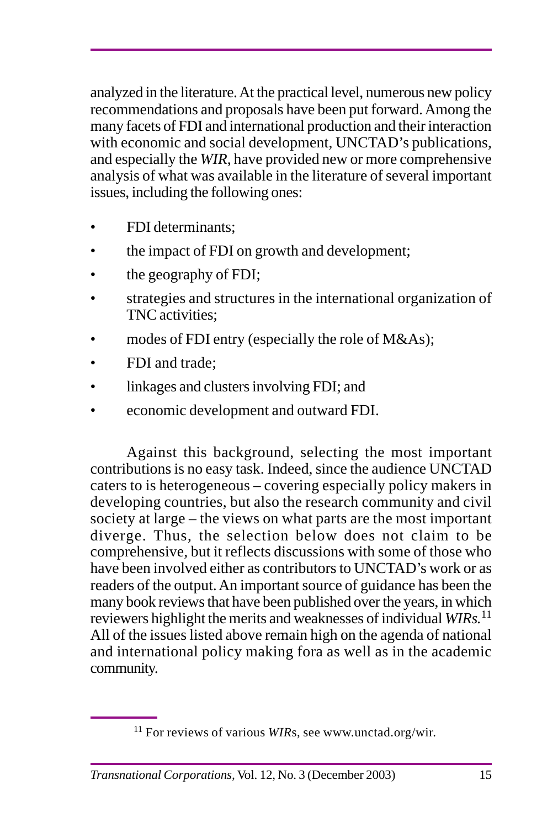analyzed in the literature. At the practical level, numerous new policy recommendations and proposals have been put forward. Among the many facets of FDI and international production and their interaction with economic and social development, UNCTAD's publications, and especially the *WIR*, have provided new or more comprehensive analysis of what was available in the literature of several important issues, including the following ones:

- FDI determinants;
- the impact of FDI on growth and development;
- the geography of FDI;
- strategies and structures in the international organization of TNC activities;
- modes of FDI entry (especially the role of M&As);
- FDI and trade;
- linkages and clusters involving FDI; and
- economic development and outward FDI.

Against this background, selecting the most important contributions is no easy task. Indeed, since the audience UNCTAD caters to is heterogeneous – covering especially policy makers in developing countries, but also the research community and civil society at large – the views on what parts are the most important diverge. Thus, the selection below does not claim to be comprehensive, but it reflects discussions with some of those who have been involved either as contributors to UNCTAD's work or as readers of the output. An important source of guidance has been the many book reviews that have been published over the years, in which reviewers highlight the merits and weaknesses of individual *WIRs.*<sup>11</sup> All of the issues listed above remain high on the agenda of national and international policy making fora as well as in the academic community.

<sup>&</sup>lt;sup>11</sup> For reviews of various *WIRs*, see www.unctad.org/wir.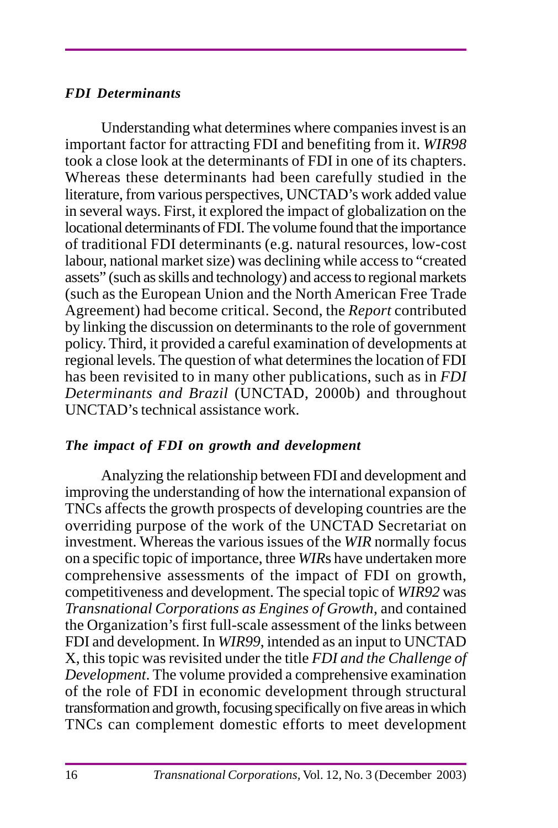#### *FDI Determinants*

Understanding what determines where companies invest is an important factor for attracting FDI and benefiting from it. *WIR98* took a close look at the determinants of FDI in one of its chapters. Whereas these determinants had been carefully studied in the literature, from various perspectives, UNCTAD's work added value in several ways. First, it explored the impact of globalization on the locational determinants of FDI. The volume found that the importance of traditional FDI determinants (e.g. natural resources, low-cost labour, national market size) was declining while access to "created assets" (such as skills and technology) and access to regional markets (such as the European Union and the North American Free Trade Agreement) had become critical. Second, the *Report* contributed by linking the discussion on determinants to the role of government policy. Third, it provided a careful examination of developments at regional levels. The question of what determines the location of FDI has been revisited to in many other publications, such as in *FDI Determinants and Brazil* (UNCTAD, 2000b) and throughout UNCTAD's technical assistance work.

#### *The impact of FDI on growth and development*

Analyzing the relationship between FDI and development and improving the understanding of how the international expansion of TNCs affects the growth prospects of developing countries are the overriding purpose of the work of the UNCTAD Secretariat on investment. Whereas the various issues of the *WIR* normally focus on a specific topic of importance, three *WIR*s have undertaken more comprehensive assessments of the impact of FDI on growth, competitiveness and development. The special topic of *WIR92* was *Transnational Corporations as Engines of Growth*, and contained the Organization's first full-scale assessment of the links between FDI and development. In *WIR99*, intended as an input to UNCTAD X, this topic was revisited under the title *FDI and the Challenge of Development*. The volume provided a comprehensive examination of the role of FDI in economic development through structural transformation and growth, focusing specifically on five areas in which TNCs can complement domestic efforts to meet development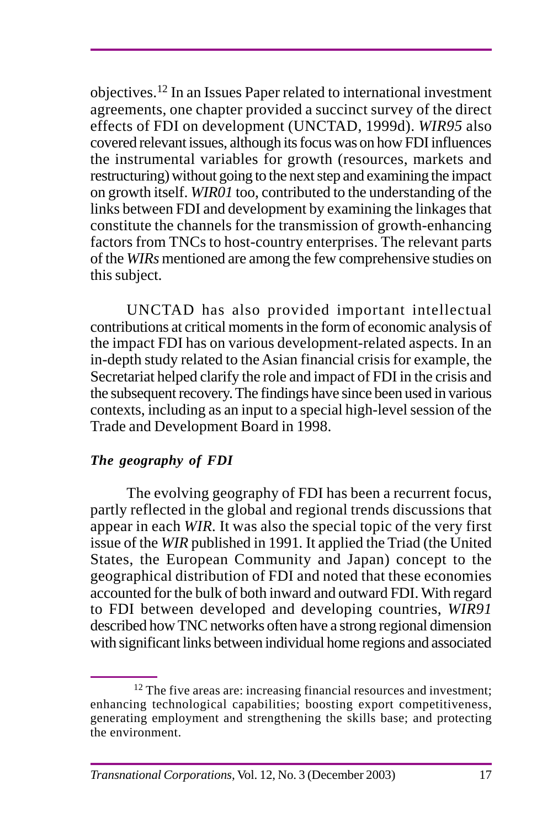objectives.12 In an Issues Paper related to international investment agreements, one chapter provided a succinct survey of the direct effects of FDI on development (UNCTAD, 1999d). *WIR95* also covered relevant issues, although its focus was on how FDI influences the instrumental variables for growth (resources, markets and restructuring) without going to the next step and examining the impact on growth itself. *WIR01* too, contributed to the understanding of the links between FDI and development by examining the linkages that constitute the channels for the transmission of growth-enhancing factors from TNCs to host-country enterprises. The relevant parts of the *WIRs* mentioned are among the few comprehensive studies on this subject.

UNCTAD has also provided important intellectual contributions at critical moments in the form of economic analysis of the impact FDI has on various development-related aspects. In an in-depth study related to the Asian financial crisis for example, the Secretariat helped clarify the role and impact of FDI in the crisis and the subsequent recovery. The findings have since been used in various contexts, including as an input to a special high-level session of the Trade and Development Board in 1998.

# *The geography of FDI*

The evolving geography of FDI has been a recurrent focus, partly reflected in the global and regional trends discussions that appear in each *WIR.* It was also the special topic of the very first issue of the *WIR* published in 1991*.* It applied the Triad (the United States, the European Community and Japan) concept to the geographical distribution of FDI and noted that these economies accounted for the bulk of both inward and outward FDI. With regard to FDI between developed and developing countries, *WIR91* described how TNC networks often have a strong regional dimension with significant links between individual home regions and associated

<sup>&</sup>lt;sup>12</sup> The five areas are: increasing financial resources and investment; enhancing technological capabilities; boosting export competitiveness, generating employment and strengthening the skills base; and protecting the environment.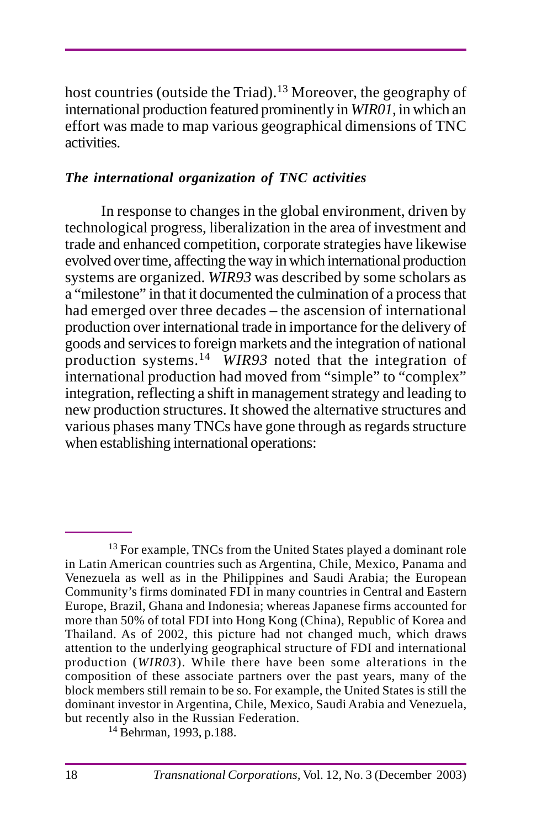host countries (outside the Triad).<sup>13</sup> Moreover, the geography of international production featured prominently in *WIR01*, in which an effort was made to map various geographical dimensions of TNC activities.

### *The international organization of TNC activities*

In response to changes in the global environment, driven by technological progress, liberalization in the area of investment and trade and enhanced competition, corporate strategies have likewise evolved over time, affecting the way in which international production systems are organized. *WIR93* was described by some scholars as a "milestone" in that it documented the culmination of a process that had emerged over three decades – the ascension of international production over international trade in importance for the delivery of goods and services to foreign markets and the integration of national production systems.14 *WIR93* noted that the integration of international production had moved from "simple" to "complex" integration, reflecting a shift in management strategy and leading to new production structures. It showed the alternative structures and various phases many TNCs have gone through as regards structure when establishing international operations:

<sup>&</sup>lt;sup>13</sup> For example, TNCs from the United States played a dominant role in Latin American countries such as Argentina, Chile, Mexico, Panama and Venezuela as well as in the Philippines and Saudi Arabia; the European Community's firms dominated FDI in many countries in Central and Eastern Europe, Brazil, Ghana and Indonesia; whereas Japanese firms accounted for more than 50% of total FDI into Hong Kong (China), Republic of Korea and Thailand. As of 2002, this picture had not changed much, which draws attention to the underlying geographical structure of FDI and international production (*WIR03*). While there have been some alterations in the composition of these associate partners over the past years, many of the block members still remain to be so. For example, the United States is still the dominant investor in Argentina, Chile, Mexico, Saudi Arabia and Venezuela, but recently also in the Russian Federation.

<sup>14</sup> Behrman, 1993, p.188.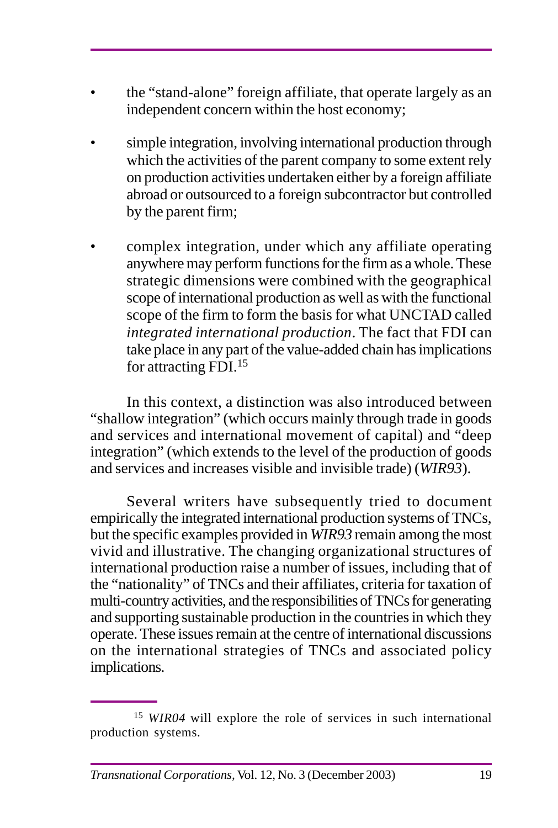- the "stand-alone" foreign affiliate, that operate largely as an independent concern within the host economy;
- simple integration, involving international production through which the activities of the parent company to some extent rely on production activities undertaken either by a foreign affiliate abroad or outsourced to a foreign subcontractor but controlled by the parent firm;
- complex integration, under which any affiliate operating anywhere may perform functions for the firm as a whole. These strategic dimensions were combined with the geographical scope of international production as well as with the functional scope of the firm to form the basis for what UNCTAD called *integrated international production*. The fact that FDI can take place in any part of the value-added chain has implications for attracting FDI.<sup>15</sup>

In this context, a distinction was also introduced between "shallow integration" (which occurs mainly through trade in goods and services and international movement of capital) and "deep integration" (which extends to the level of the production of goods and services and increases visible and invisible trade) (*WIR93*).

Several writers have subsequently tried to document empirically the integrated international production systems of TNCs, but the specific examples provided in *WIR93* remain among the most vivid and illustrative. The changing organizational structures of international production raise a number of issues, including that of the "nationality" of TNCs and their affiliates, criteria for taxation of multi-country activities, and the responsibilities of TNCs for generating and supporting sustainable production in the countries in which they operate. These issues remain at the centre of international discussions on the international strategies of TNCs and associated policy implications.

<sup>15</sup> *WIR04* will explore the role of services in such international production systems.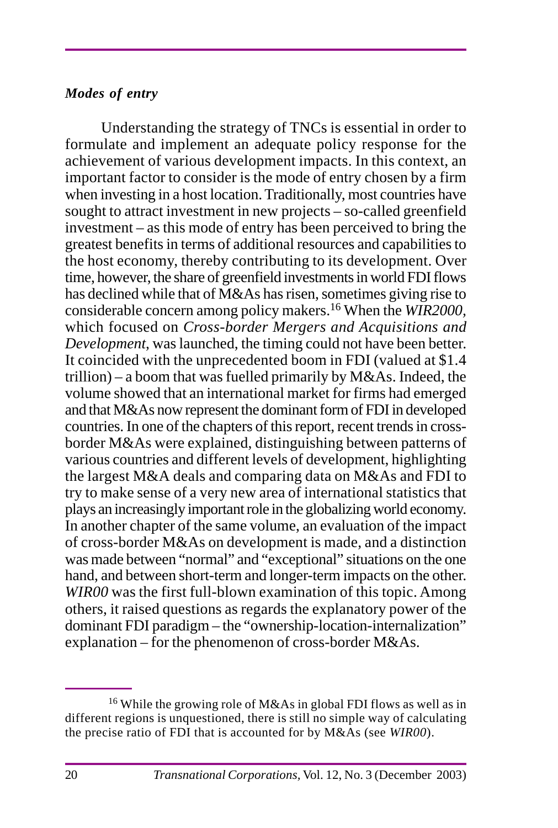#### *Modes of entry*

Understanding the strategy of TNCs is essential in order to formulate and implement an adequate policy response for the achievement of various development impacts. In this context, an important factor to consider is the mode of entry chosen by a firm when investing in a host location. Traditionally, most countries have sought to attract investment in new projects – so-called greenfield investment – as this mode of entry has been perceived to bring the greatest benefits in terms of additional resources and capabilities to the host economy, thereby contributing to its development. Over time, however, the share of greenfield investments in world FDI flows has declined while that of M&As has risen, sometimes giving rise to considerable concern among policy makers.16 When the *WIR2000,* which focused on *Cross-border Mergers and Acquisitions and Development*, was launched, the timing could not have been better. It coincided with the unprecedented boom in FDI (valued at \$1.4 trillion) – a boom that was fuelled primarily by  $M&As$ . Indeed, the volume showed that an international market for firms had emerged and that M&As now represent the dominant form of FDI in developed countries. In one of the chapters of this report, recent trends in crossborder M&As were explained, distinguishing between patterns of various countries and different levels of development, highlighting the largest M&A deals and comparing data on M&As and FDI to try to make sense of a very new area of international statistics that plays an increasingly important role in the globalizing world economy. In another chapter of the same volume, an evaluation of the impact of cross-border M&As on development is made, and a distinction was made between "normal" and "exceptional" situations on the one hand, and between short-term and longer-term impacts on the other. *WIR00* was the first full-blown examination of this topic. Among others, it raised questions as regards the explanatory power of the dominant FDI paradigm – the "ownership-location-internalization" explanation – for the phenomenon of cross-border M&As.

<sup>16</sup> While the growing role of M&As in global FDI flows as well as in different regions is unquestioned, there is still no simple way of calculating the precise ratio of FDI that is accounted for by M&As (see *WIR00*).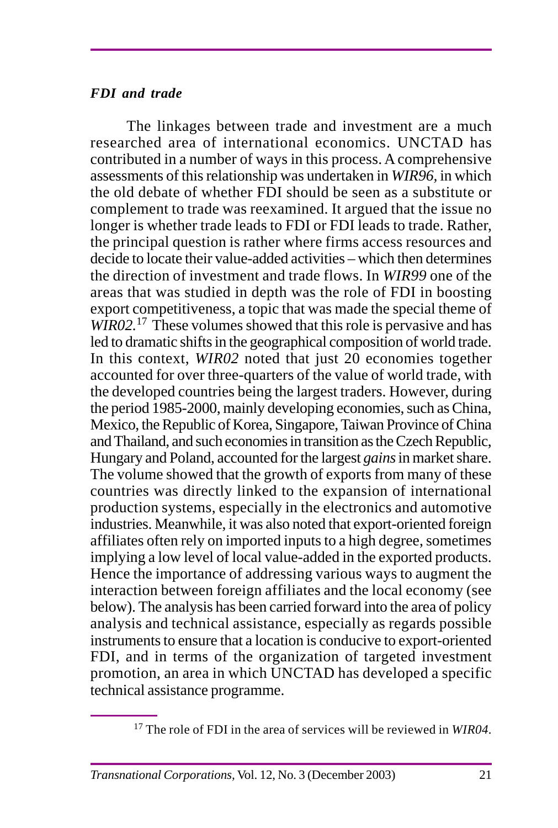### *FDI and trade*

The linkages between trade and investment are a much researched area of international economics. UNCTAD has contributed in a number of ways in this process. A comprehensive assessments of this relationship was undertaken in *WIR96,* in which the old debate of whether FDI should be seen as a substitute or complement to trade was reexamined. It argued that the issue no longer is whether trade leads to FDI or FDI leads to trade. Rather, the principal question is rather where firms access resources and decide to locate their value-added activities – which then determines the direction of investment and trade flows. In *WIR99* one of the areas that was studied in depth was the role of FDI in boosting export competitiveness, a topic that was made the special theme of *WIR02.*17 These volumes showed that this role is pervasive and has led to dramatic shifts in the geographical composition of world trade. In this context, *WIR02* noted that just 20 economies together accounted for over three-quarters of the value of world trade, with the developed countries being the largest traders. However, during the period 1985-2000, mainly developing economies, such as China, Mexico, the Republic of Korea, Singapore, Taiwan Province of China and Thailand, and such economies in transition as the Czech Republic, Hungary and Poland, accounted for the largest *gains* in market share. The volume showed that the growth of exports from many of these countries was directly linked to the expansion of international production systems, especially in the electronics and automotive industries. Meanwhile, it was also noted that export-oriented foreign affiliates often rely on imported inputs to a high degree, sometimes implying a low level of local value-added in the exported products. Hence the importance of addressing various ways to augment the interaction between foreign affiliates and the local economy (see below). The analysis has been carried forward into the area of policy analysis and technical assistance, especially as regards possible instruments to ensure that a location is conducive to export-oriented FDI, and in terms of the organization of targeted investment promotion, an area in which UNCTAD has developed a specific technical assistance programme.

<sup>17</sup> The role of FDI in the area of services will be reviewed in *WIR04.*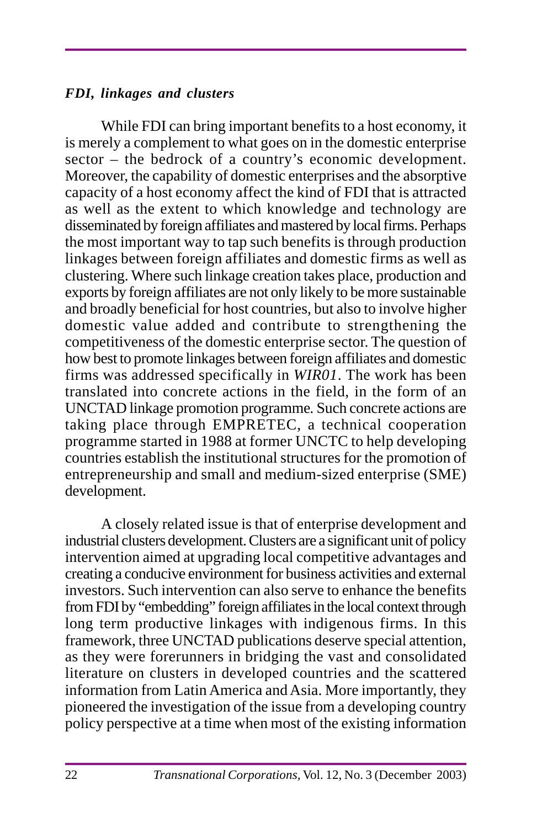#### *FDI, linkages and clusters*

While FDI can bring important benefits to a host economy, it is merely a complement to what goes on in the domestic enterprise sector – the bedrock of a country's economic development. Moreover, the capability of domestic enterprises and the absorptive capacity of a host economy affect the kind of FDI that is attracted as well as the extent to which knowledge and technology are disseminated by foreign affiliates and mastered by local firms. Perhaps the most important way to tap such benefits is through production linkages between foreign affiliates and domestic firms as well as clustering. Where such linkage creation takes place, production and exports by foreign affiliates are not only likely to be more sustainable and broadly beneficial for host countries, but also to involve higher domestic value added and contribute to strengthening the competitiveness of the domestic enterprise sector. The question of how best to promote linkages between foreign affiliates and domestic firms was addressed specifically in *WIR01*. The work has been translated into concrete actions in the field, in the form of an UNCTAD linkage promotion programme*.* Such concrete actions are taking place through EMPRETEC, a technical cooperation programme started in 1988 at former UNCTC to help developing countries establish the institutional structures for the promotion of entrepreneurship and small and medium-sized enterprise (SME) development.

A closely related issue is that of enterprise development and industrial clusters development. Clusters are a significant unit of policy intervention aimed at upgrading local competitive advantages and creating a conducive environment for business activities and external investors. Such intervention can also serve to enhance the benefits from FDI by "embedding" foreign affiliates in the local context through long term productive linkages with indigenous firms. In this framework, three UNCTAD publications deserve special attention, as they were forerunners in bridging the vast and consolidated literature on clusters in developed countries and the scattered information from Latin America and Asia. More importantly, they pioneered the investigation of the issue from a developing country policy perspective at a time when most of the existing information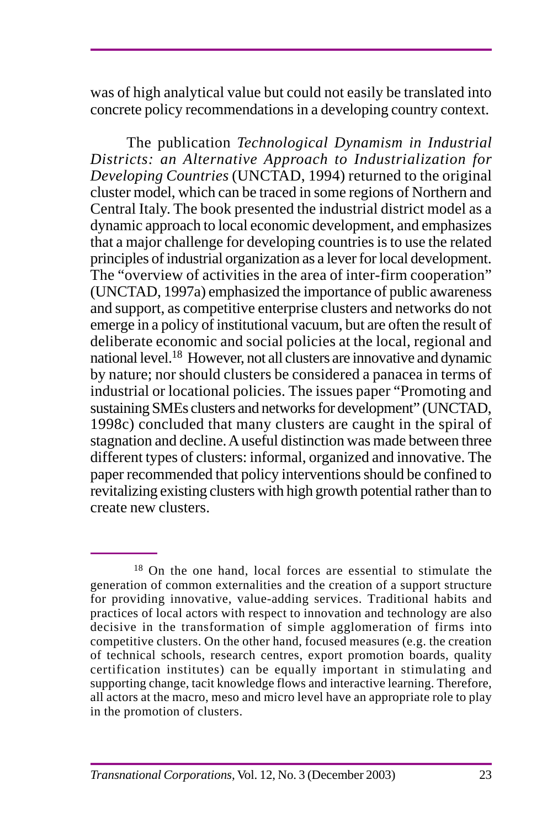was of high analytical value but could not easily be translated into concrete policy recommendations in a developing country context.

The publication *Technological Dynamism in Industrial Districts: an Alternative Approach to Industrialization for Developing Countries* (UNCTAD, 1994) returned to the original cluster model, which can be traced in some regions of Northern and Central Italy. The book presented the industrial district model as a dynamic approach to local economic development, and emphasizes that a major challenge for developing countries is to use the related principles of industrial organization as a lever for local development. The "overview of activities in the area of inter-firm cooperation" (UNCTAD, 1997a) emphasized the importance of public awareness and support, as competitive enterprise clusters and networks do not emerge in a policy of institutional vacuum, but are often the result of deliberate economic and social policies at the local, regional and national level.18 However, not all clusters are innovative and dynamic by nature; nor should clusters be considered a panacea in terms of industrial or locational policies. The issues paper "Promoting and sustaining SMEs clusters and networks for development" (UNCTAD, 1998c) concluded that many clusters are caught in the spiral of stagnation and decline. A useful distinction was made between three different types of clusters: informal, organized and innovative. The paper recommended that policy interventions should be confined to revitalizing existing clusters with high growth potential rather than to create new clusters.

<sup>18</sup> On the one hand, local forces are essential to stimulate the generation of common externalities and the creation of a support structure for providing innovative, value-adding services. Traditional habits and practices of local actors with respect to innovation and technology are also decisive in the transformation of simple agglomeration of firms into competitive clusters. On the other hand, focused measures (e.g. the creation of technical schools, research centres, export promotion boards, quality certification institutes) can be equally important in stimulating and supporting change, tacit knowledge flows and interactive learning. Therefore, all actors at the macro, meso and micro level have an appropriate role to play in the promotion of clusters.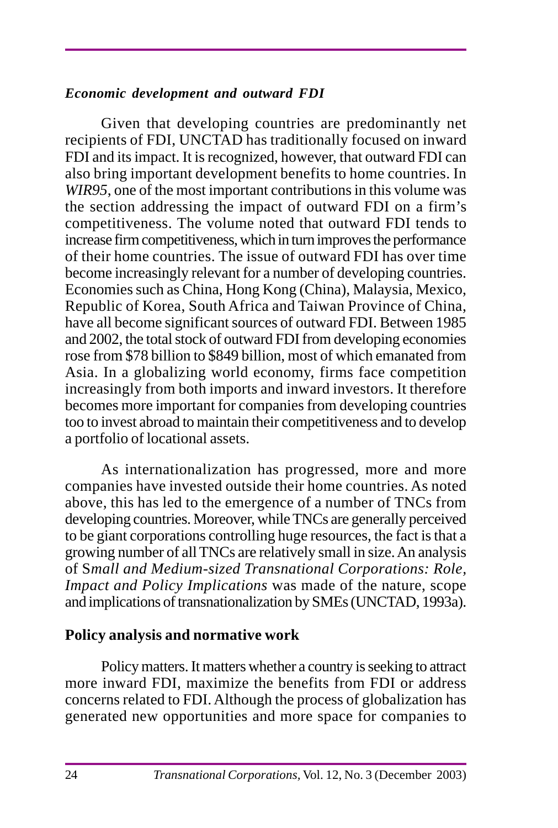#### *Economic development and outward FDI*

Given that developing countries are predominantly net recipients of FDI, UNCTAD has traditionally focused on inward FDI and its impact. It is recognized, however, that outward FDI can also bring important development benefits to home countries. In *WIR95*, one of the most important contributions in this volume was the section addressing the impact of outward FDI on a firm's competitiveness. The volume noted that outward FDI tends to increase firm competitiveness, which in turn improves the performance of their home countries. The issue of outward FDI has over time become increasingly relevant for a number of developing countries. Economies such as China, Hong Kong (China), Malaysia, Mexico, Republic of Korea, South Africa and Taiwan Province of China, have all become significant sources of outward FDI. Between 1985 and 2002, the total stock of outward FDI from developing economies rose from \$78 billion to \$849 billion, most of which emanated from Asia. In a globalizing world economy, firms face competition increasingly from both imports and inward investors. It therefore becomes more important for companies from developing countries too to invest abroad to maintain their competitiveness and to develop a portfolio of locational assets.

As internationalization has progressed, more and more companies have invested outside their home countries. As noted above, this has led to the emergence of a number of TNCs from developing countries. Moreover, while TNCs are generally perceived to be giant corporations controlling huge resources, the fact is that a growing number of all TNCs are relatively small in size. An analysis of S*mall and Medium-sized Transnational Corporations: Role, Impact and Policy Implications* was made of the nature, scope and implications of transnationalization by SMEs (UNCTAD, 1993a).

# **Policy analysis and normative work**

Policy matters. It matters whether a country is seeking to attract more inward FDI, maximize the benefits from FDI or address concerns related to FDI. Although the process of globalization has generated new opportunities and more space for companies to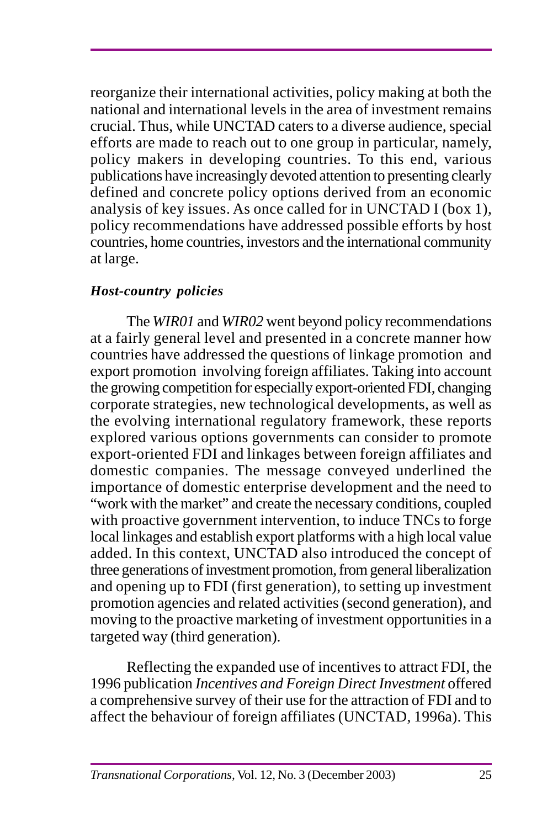reorganize their international activities, policy making at both the national and international levels in the area of investment remains crucial. Thus, while UNCTAD caters to a diverse audience, special efforts are made to reach out to one group in particular, namely, policy makers in developing countries. To this end, various publications have increasingly devoted attention to presenting clearly defined and concrete policy options derived from an economic analysis of key issues. As once called for in UNCTAD I (box 1), policy recommendations have addressed possible efforts by host countries, home countries, investors and the international community at large.

# *Host-country policies*

The *WIR01* and *WIR02* went beyond policy recommendations at a fairly general level and presented in a concrete manner how countries have addressed the questions of linkage promotion and export promotion involving foreign affiliates. Taking into account the growing competition for especially export-oriented FDI, changing corporate strategies, new technological developments, as well as the evolving international regulatory framework, these reports explored various options governments can consider to promote export-oriented FDI and linkages between foreign affiliates and domestic companies. The message conveyed underlined the importance of domestic enterprise development and the need to "work with the market" and create the necessary conditions, coupled with proactive government intervention, to induce TNCs to forge local linkages and establish export platforms with a high local value added. In this context, UNCTAD also introduced the concept of three generations of investment promotion, from general liberalization and opening up to FDI (first generation), to setting up investment promotion agencies and related activities (second generation), and moving to the proactive marketing of investment opportunities in a targeted way (third generation).

Reflecting the expanded use of incentives to attract FDI, the 1996 publication *Incentives and Foreign Direct Investment* offered a comprehensive survey of their use for the attraction of FDI and to affect the behaviour of foreign affiliates (UNCTAD, 1996a). This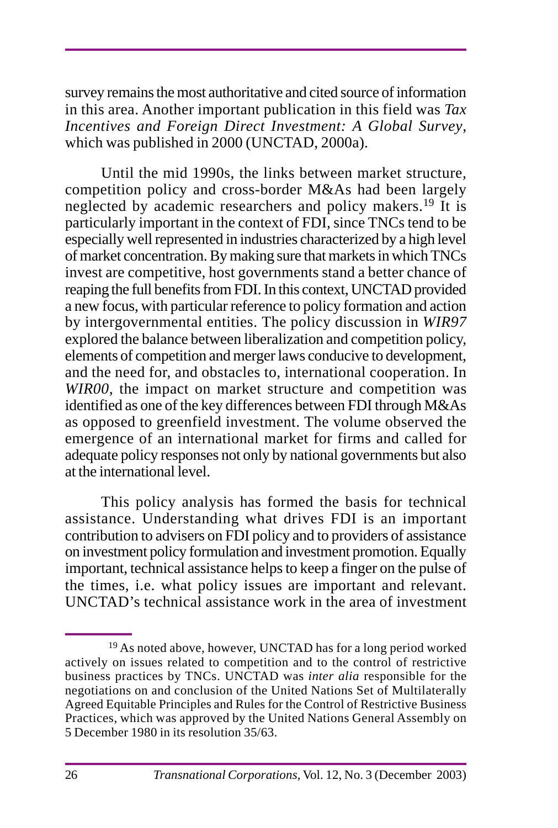survey remains the most authoritative and cited source of information in this area. Another important publication in this field was *Tax Incentives and Foreign Direct Investment: A Global Survey*, which was published in 2000 (UNCTAD, 2000a).

Until the mid 1990s, the links between market structure, competition policy and cross-border M&As had been largely neglected by academic researchers and policy makers.<sup>19</sup> It is particularly important in the context of FDI, since TNCs tend to be especially well represented in industries characterized by a high level of market concentration. By making sure that markets in which TNCs invest are competitive, host governments stand a better chance of reaping the full benefits from FDI. In this context, UNCTAD provided a new focus, with particular reference to policy formation and action by intergovernmental entities. The policy discussion in *WIR97* explored the balance between liberalization and competition policy, elements of competition and merger laws conducive to development, and the need for, and obstacles to, international cooperation. In *WIR00,* the impact on market structure and competition was identified as one of the key differences between FDI through M&As as opposed to greenfield investment. The volume observed the emergence of an international market for firms and called for adequate policy responses not only by national governments but also at the international level.

This policy analysis has formed the basis for technical assistance. Understanding what drives FDI is an important contribution to advisers on FDI policy and to providers of assistance on investment policy formulation and investment promotion. Equally important, technical assistance helps to keep a finger on the pulse of the times, i.e. what policy issues are important and relevant. UNCTAD's technical assistance work in the area of investment

<sup>&</sup>lt;sup>19</sup> As noted above, however, UNCTAD has for a long period worked actively on issues related to competition and to the control of restrictive business practices by TNCs. UNCTAD was *inter alia* responsible for the negotiations on and conclusion of the United Nations Set of Multilaterally Agreed Equitable Principles and Rules for the Control of Restrictive Business Practices, which was approved by the United Nations General Assembly on 5 December 1980 in its resolution 35/63.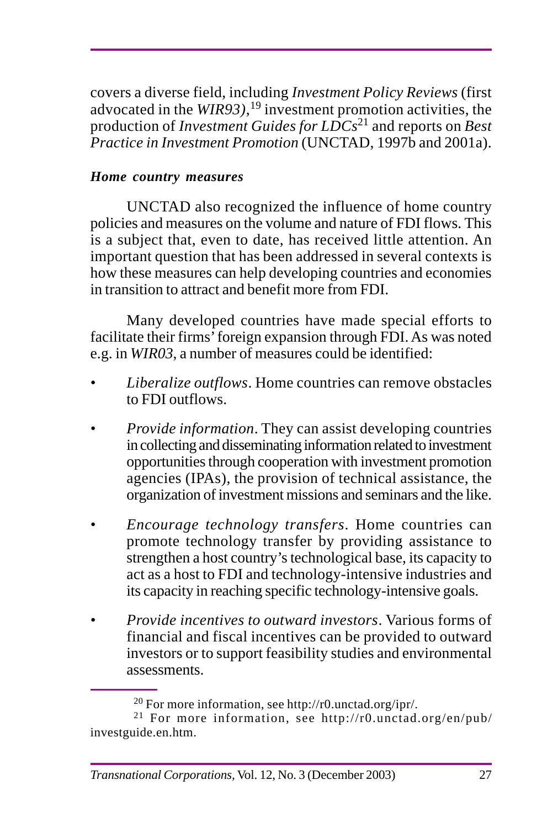covers a diverse field, including *Investment Policy Reviews* (first advocated in the *WIR93)*, 19 investment promotion activities, the production of *Investment Guides for LDCs*21 and reports on *Best Practice in Investment Promotion* (UNCTAD, 1997b and 2001a).

# *Home country measures*

UNCTAD also recognized the influence of home country policies and measures on the volume and nature of FDI flows. This is a subject that, even to date, has received little attention. An important question that has been addressed in several contexts is how these measures can help developing countries and economies in transition to attract and benefit more from FDI.

Many developed countries have made special efforts to facilitate their firms' foreign expansion through FDI. As was noted e.g. in *WIR03*, a number of measures could be identified:

- *Liberalize outflows*. Home countries can remove obstacles to FDI outflows.
- *Provide information*. They can assist developing countries in collecting and disseminating information related to investment opportunities through cooperation with investment promotion agencies (IPAs), the provision of technical assistance, the organization of investment missions and seminars and the like.
- *Encourage technology transfers*. Home countries can promote technology transfer by providing assistance to strengthen a host country's technological base, its capacity to act as a host to FDI and technology-intensive industries and its capacity in reaching specific technology-intensive goals.
- *Provide incentives to outward investors*. Various forms of financial and fiscal incentives can be provided to outward investors or to support feasibility studies and environmental assessments.

<sup>20</sup> For more information, see http://r0.unctad.org/ipr/.

<sup>21</sup> For more information, see http://r0.unctad.org/en/pub/ investguide.en.htm.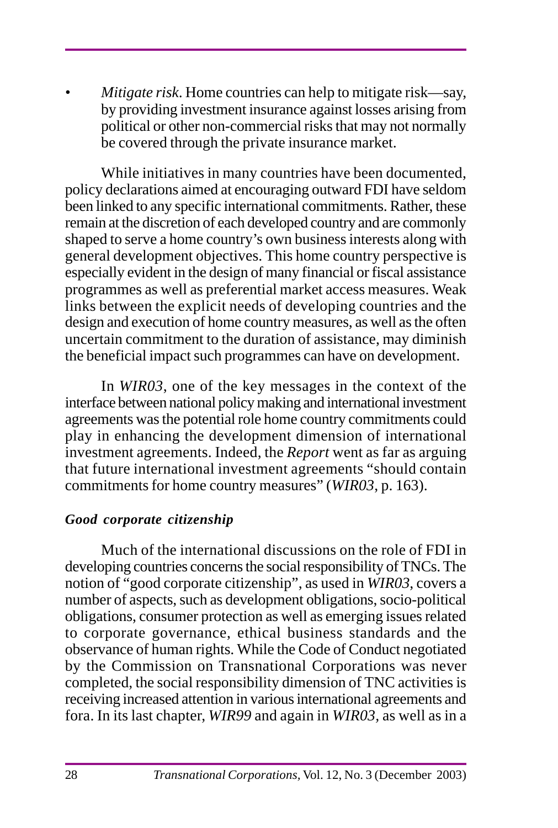*• Mitigate risk*. Home countries can help to mitigate risk—say, by providing investment insurance against losses arising from political or other non-commercial risks that may not normally be covered through the private insurance market.

While initiatives in many countries have been documented, policy declarations aimed at encouraging outward FDI have seldom been linked to any specific international commitments. Rather, these remain at the discretion of each developed country and are commonly shaped to serve a home country's own business interests along with general development objectives. This home country perspective is especially evident in the design of many financial or fiscal assistance programmes as well as preferential market access measures. Weak links between the explicit needs of developing countries and the design and execution of home country measures, as well as the often uncertain commitment to the duration of assistance, may diminish the beneficial impact such programmes can have on development.

In *WIR03*, one of the key messages in the context of the interface between national policy making and international investment agreements was the potential role home country commitments could play in enhancing the development dimension of international investment agreements. Indeed, the *Report* went as far as arguing that future international investment agreements "should contain commitments for home country measures" (*WIR03*, p. 163).

#### *Good corporate citizenship*

Much of the international discussions on the role of FDI in developing countries concerns the social responsibility of TNCs. The notion of "good corporate citizenship", as used in *WIR03*, covers a number of aspects, such as development obligations, socio-political obligations, consumer protection as well as emerging issues related to corporate governance, ethical business standards and the observance of human rights. While the Code of Conduct negotiated by the Commission on Transnational Corporations was never completed, the social responsibility dimension of TNC activities is receiving increased attention in various international agreements and fora. In its last chapter, *WIR99* and again in *WIR03,* as well as in a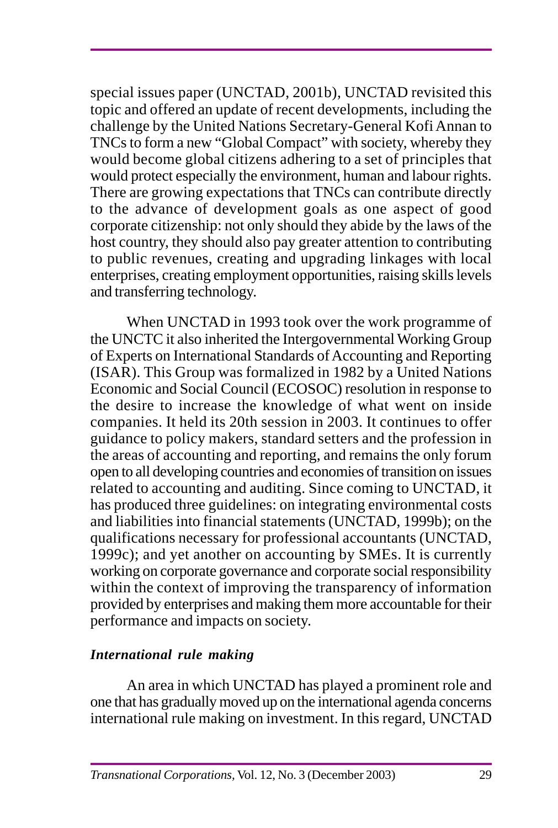special issues paper (UNCTAD, 2001b), UNCTAD revisited this topic and offered an update of recent developments, including the challenge by the United Nations Secretary-General Kofi Annan to TNCs to form a new "Global Compact" with society, whereby they would become global citizens adhering to a set of principles that would protect especially the environment, human and labour rights. There are growing expectations that TNCs can contribute directly to the advance of development goals as one aspect of good corporate citizenship: not only should they abide by the laws of the host country, they should also pay greater attention to contributing to public revenues, creating and upgrading linkages with local enterprises, creating employment opportunities, raising skills levels and transferring technology.

When UNCTAD in 1993 took over the work programme of the UNCTC it also inherited the Intergovernmental Working Group of Experts on International Standards of Accounting and Reporting (ISAR). This Group was formalized in 1982 by a United Nations Economic and Social Council (ECOSOC) resolution in response to the desire to increase the knowledge of what went on inside companies. It held its 20th session in 2003. It continues to offer guidance to policy makers, standard setters and the profession in the areas of accounting and reporting, and remains the only forum open to all developing countries and economies of transition on issues related to accounting and auditing. Since coming to UNCTAD, it has produced three guidelines: on integrating environmental costs and liabilities into financial statements (UNCTAD, 1999b); on the qualifications necessary for professional accountants (UNCTAD, 1999c); and yet another on accounting by SMEs. It is currently working on corporate governance and corporate social responsibility within the context of improving the transparency of information provided by enterprises and making them more accountable for their performance and impacts on society.

# *International rule making*

An area in which UNCTAD has played a prominent role and one that has gradually moved up on the international agenda concerns international rule making on investment. In this regard, UNCTAD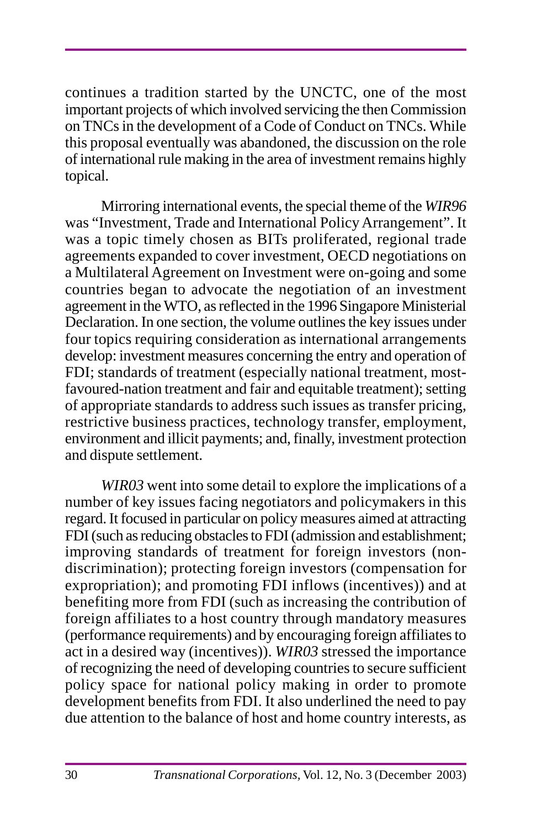continues a tradition started by the UNCTC, one of the most important projects of which involved servicing the then Commission on TNCs in the development of a Code of Conduct on TNCs. While this proposal eventually was abandoned, the discussion on the role of international rule making in the area of investment remains highly topical.

Mirroring international events, the special theme of the *WIR96* was "Investment, Trade and International Policy Arrangement". It was a topic timely chosen as BITs proliferated, regional trade agreements expanded to cover investment, OECD negotiations on a Multilateral Agreement on Investment were on-going and some countries began to advocate the negotiation of an investment agreement in the WTO, as reflected in the 1996 Singapore Ministerial Declaration. In one section, the volume outlines the key issues under four topics requiring consideration as international arrangements develop: investment measures concerning the entry and operation of FDI; standards of treatment (especially national treatment, mostfavoured-nation treatment and fair and equitable treatment); setting of appropriate standards to address such issues as transfer pricing, restrictive business practices, technology transfer, employment, environment and illicit payments; and, finally, investment protection and dispute settlement.

*WIR03* went into some detail to explore the implications of a number of key issues facing negotiators and policymakers in this regard. It focused in particular on policy measures aimed at attracting FDI (such as reducing obstacles to FDI (admission and establishment; improving standards of treatment for foreign investors (nondiscrimination); protecting foreign investors (compensation for expropriation); and promoting FDI inflows (incentives)) and at benefiting more from FDI (such as increasing the contribution of foreign affiliates to a host country through mandatory measures (performance requirements) and by encouraging foreign affiliates to act in a desired way (incentives)). *WIR03* stressed the importance of recognizing the need of developing countries to secure sufficient policy space for national policy making in order to promote development benefits from FDI. It also underlined the need to pay due attention to the balance of host and home country interests, as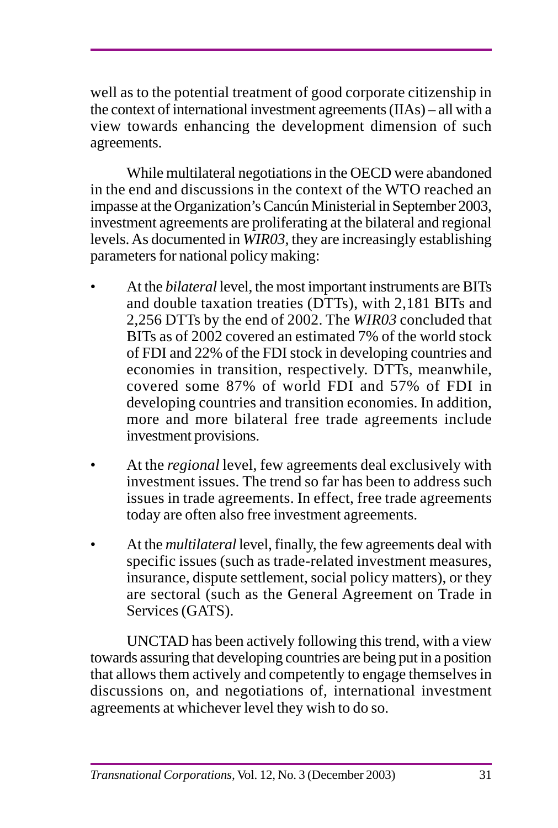well as to the potential treatment of good corporate citizenship in the context of international investment agreements (IIAs) – all with a view towards enhancing the development dimension of such agreements.

While multilateral negotiations in the OECD were abandoned in the end and discussions in the context of the WTO reached an impasse at the Organization's Cancún Ministerial in September 2003, investment agreements are proliferating at the bilateral and regional levels. As documented in *WIR03,* they are increasingly establishing parameters for national policy making:

- At the *bilateral* level, the most important instruments are BITs and double taxation treaties (DTTs), with 2,181 BITs and 2,256 DTTs by the end of 2002. The *WIR03* concluded that BITs as of 2002 covered an estimated 7% of the world stock of FDI and 22% of the FDI stock in developing countries and economies in transition, respectively. DTTs, meanwhile, covered some 87% of world FDI and 57% of FDI in developing countries and transition economies. In addition, more and more bilateral free trade agreements include investment provisions.
- At the *regional* level, few agreements deal exclusively with investment issues. The trend so far has been to address such issues in trade agreements. In effect, free trade agreements today are often also free investment agreements.
- At the *multilateral* level, finally, the few agreements deal with specific issues (such as trade-related investment measures, insurance, dispute settlement, social policy matters), or they are sectoral (such as the General Agreement on Trade in Services (GATS).

UNCTAD has been actively following this trend, with a view towards assuring that developing countries are being put in a position that allows them actively and competently to engage themselves in discussions on, and negotiations of, international investment agreements at whichever level they wish to do so.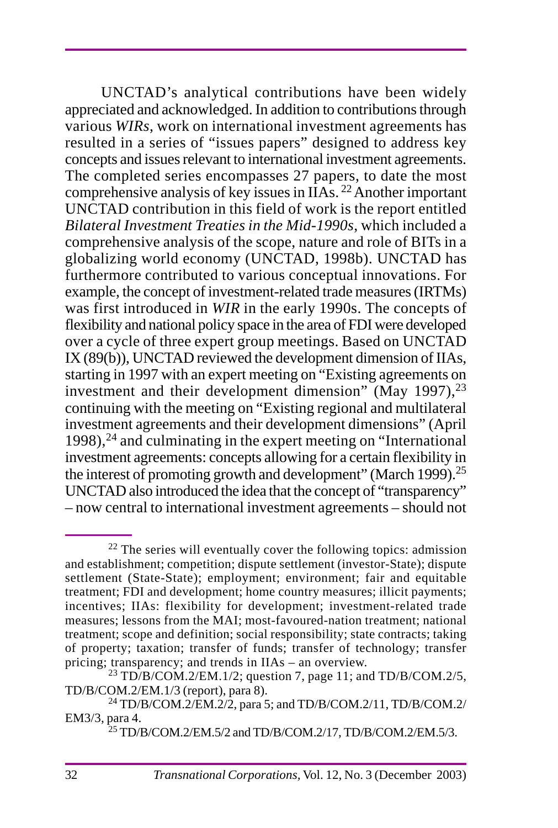UNCTAD's analytical contributions have been widely appreciated and acknowledged. In addition to contributions through various *WIRs*, work on international investment agreements has resulted in a series of "issues papers" designed to address key concepts and issues relevant to international investment agreements. The completed series encompasses 27 papers, to date the most comprehensive analysis of key issues in IIAs. 22 Another important UNCTAD contribution in this field of work is the report entitled *Bilateral Investment Treaties in the Mid-1990s*, which included a comprehensive analysis of the scope, nature and role of BITs in a globalizing world economy (UNCTAD, 1998b). UNCTAD has furthermore contributed to various conceptual innovations. For example, the concept of investment-related trade measures (IRTMs) was first introduced in *WIR* in the early 1990s. The concepts of flexibility and national policy space in the area of FDI were developed over a cycle of three expert group meetings. Based on UNCTAD IX (89(b)), UNCTAD reviewed the development dimension of IIAs, starting in 1997 with an expert meeting on "Existing agreements on investment and their development dimension" (May 1997),  $^{23}$ continuing with the meeting on "Existing regional and multilateral investment agreements and their development dimensions" (April  $1998$ ,  $^{24}$  and culminating in the expert meeting on "International investment agreements: concepts allowing for a certain flexibility in the interest of promoting growth and development" (March 1999).<sup>25</sup> UNCTAD also introduced the idea that the concept of "transparency" – now central to international investment agreements – should not

<sup>&</sup>lt;sup>22</sup> The series will eventually cover the following topics: admission and establishment; competition; dispute settlement (investor-State); dispute settlement (State-State); employment; environment; fair and equitable treatment; FDI and development; home country measures; illicit payments; incentives; IIAs: flexibility for development; investment-related trade measures; lessons from the MAI; most-favoured-nation treatment; national treatment; scope and definition; social responsibility; state contracts; taking of property; taxation; transfer of funds; transfer of technology; transfer pricing; transparency; and trends in IIAs – an overview.

<sup>23</sup> TD/B/COM.2/EM.1/2; question 7, page 11; and TD/B/COM.2/5, TD/B/COM.2/EM.1/3 (report), para 8).

<sup>24</sup> TD/B/COM.2/EM.2/2, para 5; and TD/B/COM.2/11, TD/B/COM.2/ EM3/3, para 4.

 $^{25}$  TD/B/COM.2/EM.5/2 and TD/B/COM.2/17, TD/B/COM.2/EM.5/3.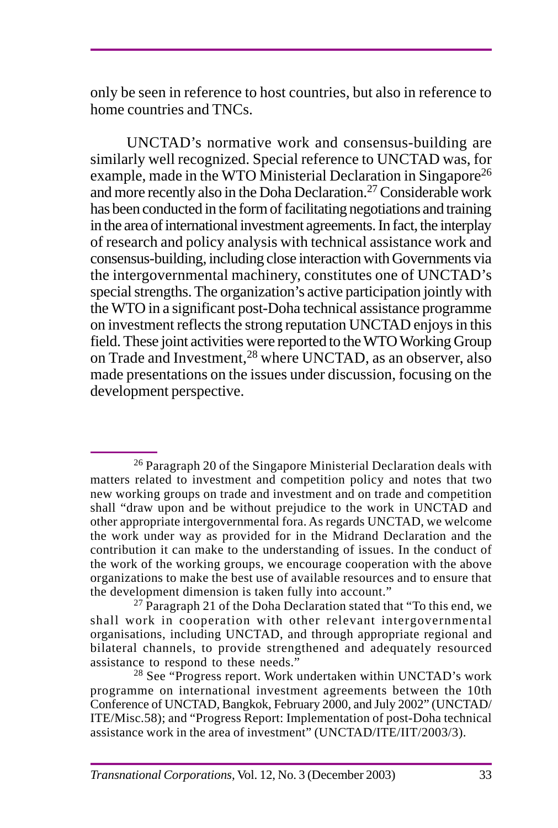only be seen in reference to host countries, but also in reference to home countries and TNCs.

UNCTAD's normative work and consensus-building are similarly well recognized. Special reference to UNCTAD was, for example, made in the WTO Ministerial Declaration in Singapore<sup>26</sup> and more recently also in the Doha Declaration.27 Considerable work has been conducted in the form of facilitating negotiations and training in the area of international investment agreements. In fact, the interplay of research and policy analysis with technical assistance work and consensus-building, including close interaction with Governments via the intergovernmental machinery, constitutes one of UNCTAD's special strengths. The organization's active participation jointly with the WTO in a significant post-Doha technical assistance programme on investment reflects the strong reputation UNCTAD enjoys in this field. These joint activities were reported to the WTO Working Group on Trade and Investment,28 where UNCTAD, as an observer, also made presentations on the issues under discussion, focusing on the development perspective.

 $^{27}$  Paragraph 21 of the Doha Declaration stated that "To this end, we shall work in cooperation with other relevant intergovernmental organisations, including UNCTAD, and through appropriate regional and bilateral channels, to provide strengthened and adequately resourced assistance to respond to these needs."

<sup>28</sup> See "Progress report. Work undertaken within UNCTAD's work programme on international investment agreements between the 10th Conference of UNCTAD, Bangkok, February 2000, and July 2002" (UNCTAD/ ITE/Misc.58); and "Progress Report: Implementation of post-Doha technical assistance work in the area of investment" (UNCTAD/ITE/IIT/2003/3).

<sup>&</sup>lt;sup>26</sup> Paragraph 20 of the Singapore Ministerial Declaration deals with matters related to investment and competition policy and notes that two new working groups on trade and investment and on trade and competition shall "draw upon and be without prejudice to the work in UNCTAD and other appropriate intergovernmental fora. As regards UNCTAD, we welcome the work under way as provided for in the Midrand Declaration and the contribution it can make to the understanding of issues. In the conduct of the work of the working groups, we encourage cooperation with the above organizations to make the best use of available resources and to ensure that the development dimension is taken fully into account."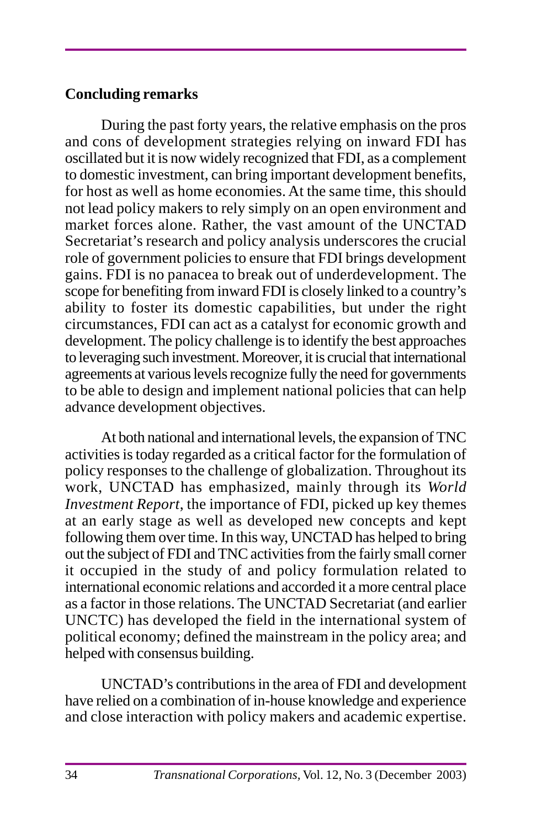# **Concluding remarks**

During the past forty years, the relative emphasis on the pros and cons of development strategies relying on inward FDI has oscillated but it is now widely recognized that FDI, as a complement to domestic investment, can bring important development benefits, for host as well as home economies. At the same time, this should not lead policy makers to rely simply on an open environment and market forces alone. Rather, the vast amount of the UNCTAD Secretariat's research and policy analysis underscores the crucial role of government policies to ensure that FDI brings development gains. FDI is no panacea to break out of underdevelopment. The scope for benefiting from inward FDI is closely linked to a country's ability to foster its domestic capabilities, but under the right circumstances, FDI can act as a catalyst for economic growth and development. The policy challenge is to identify the best approaches to leveraging such investment. Moreover, it is crucial that international agreements at various levels recognize fully the need for governments to be able to design and implement national policies that can help advance development objectives.

At both national and international levels, the expansion of TNC activities is today regarded as a critical factor for the formulation of policy responses to the challenge of globalization. Throughout its work, UNCTAD has emphasized, mainly through its *World Investment Report*, the importance of FDI, picked up key themes at an early stage as well as developed new concepts and kept following them over time. In this way, UNCTAD has helped to bring out the subject of FDI and TNC activities from the fairly small corner it occupied in the study of and policy formulation related to international economic relations and accorded it a more central place as a factor in those relations. The UNCTAD Secretariat (and earlier UNCTC) has developed the field in the international system of political economy; defined the mainstream in the policy area; and helped with consensus building.

UNCTAD's contributions in the area of FDI and development have relied on a combination of in-house knowledge and experience and close interaction with policy makers and academic expertise.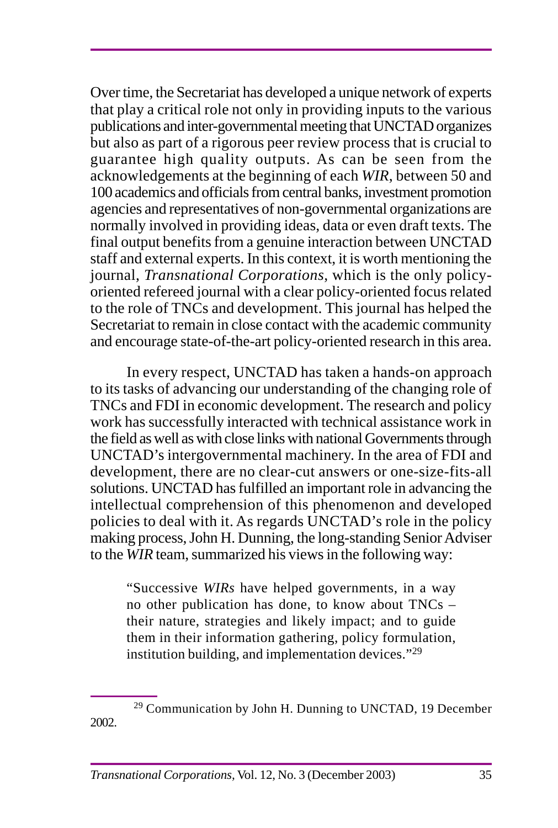Over time, the Secretariat has developed a unique network of experts that play a critical role not only in providing inputs to the various publications and inter-governmental meeting that UNCTAD organizes but also as part of a rigorous peer review process that is crucial to guarantee high quality outputs. As can be seen from the acknowledgements at the beginning of each *WIR*, between 50 and 100 academics and officials from central banks, investment promotion agencies and representatives of non-governmental organizations are normally involved in providing ideas, data or even draft texts. The final output benefits from a genuine interaction between UNCTAD staff and external experts. In this context, it is worth mentioning the journal, *Transnational Corporations*, which is the only policyoriented refereed journal with a clear policy-oriented focus related to the role of TNCs and development. This journal has helped the Secretariat to remain in close contact with the academic community and encourage state-of-the-art policy-oriented research in this area.

In every respect, UNCTAD has taken a hands-on approach to its tasks of advancing our understanding of the changing role of TNCs and FDI in economic development. The research and policy work has successfully interacted with technical assistance work in the field as well as with close links with national Governments through UNCTAD's intergovernmental machinery. In the area of FDI and development, there are no clear-cut answers or one-size-fits-all solutions. UNCTAD has fulfilled an important role in advancing the intellectual comprehension of this phenomenon and developed policies to deal with it. As regards UNCTAD's role in the policy making process, John H. Dunning, the long-standing Senior Adviser to the *WIR* team, summarized his views in the following way:

"Successive *WIRs* have helped governments, in a way no other publication has done, to know about TNCs – their nature, strategies and likely impact; and to guide them in their information gathering, policy formulation, institution building, and implementation devices."<sup>29</sup>

<sup>29</sup> Communication by John H. Dunning to UNCTAD, 19 December 2002.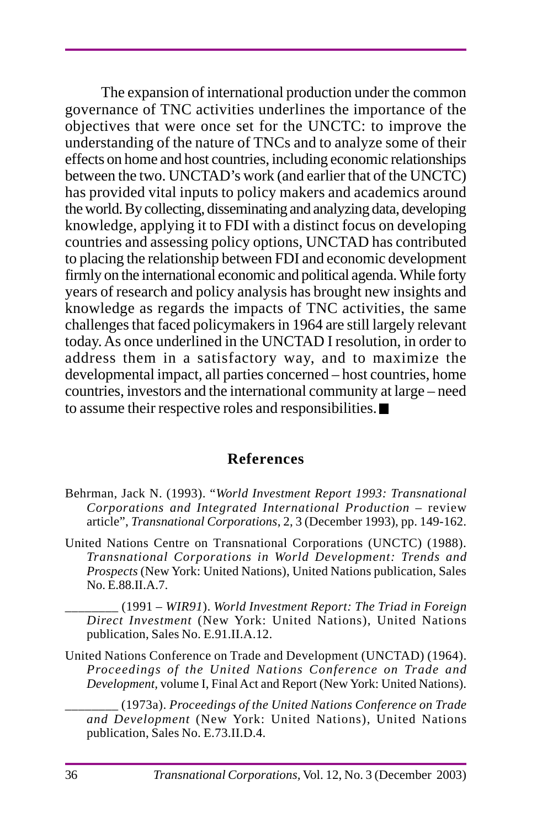The expansion of international production under the common governance of TNC activities underlines the importance of the objectives that were once set for the UNCTC: to improve the understanding of the nature of TNCs and to analyze some of their effects on home and host countries, including economic relationships between the two. UNCTAD's work (and earlier that of the UNCTC) has provided vital inputs to policy makers and academics around the world. By collecting, disseminating and analyzing data, developing knowledge, applying it to FDI with a distinct focus on developing countries and assessing policy options, UNCTAD has contributed to placing the relationship between FDI and economic development firmly on the international economic and political agenda. While forty years of research and policy analysis has brought new insights and knowledge as regards the impacts of TNC activities, the same challenges that faced policymakers in 1964 are still largely relevant today. As once underlined in the UNCTAD I resolution, in order to address them in a satisfactory way, and to maximize the developmental impact, all parties concerned – host countries, home countries, investors and the international community at large – need to assume their respective roles and responsibilities.

#### **References**

- Behrman, Jack N. (1993). "*World Investment Report 1993: Transnational Corporations and Integrated International Production* – review article", *Transnational Corporations*, 2, 3 (December 1993), pp. 149-162.
- United Nations Centre on Transnational Corporations (UNCTC) (1988). *Transnational Corporations in World Development: Trends and Prospects* (New York: United Nations), United Nations publication, Sales No. E.88.II.A.7.

\_\_\_\_\_\_\_\_ (1991 – *WIR91*). *World Investment Report: The Triad in Foreign Direct Investment* (New York: United Nations), United Nations publication, Sales No. E.91.II.A.12.

United Nations Conference on Trade and Development (UNCTAD) (1964). *Proceedings of the United Nations Conference on Trade and Development,* volume I, Final Act and Report (New York: United Nations).

\_\_\_\_\_\_\_\_ (1973a). *Proceedings of the United Nations Conference on Trade and Development* (New York: United Nations), United Nations publication, Sales No. E.73.II.D.4.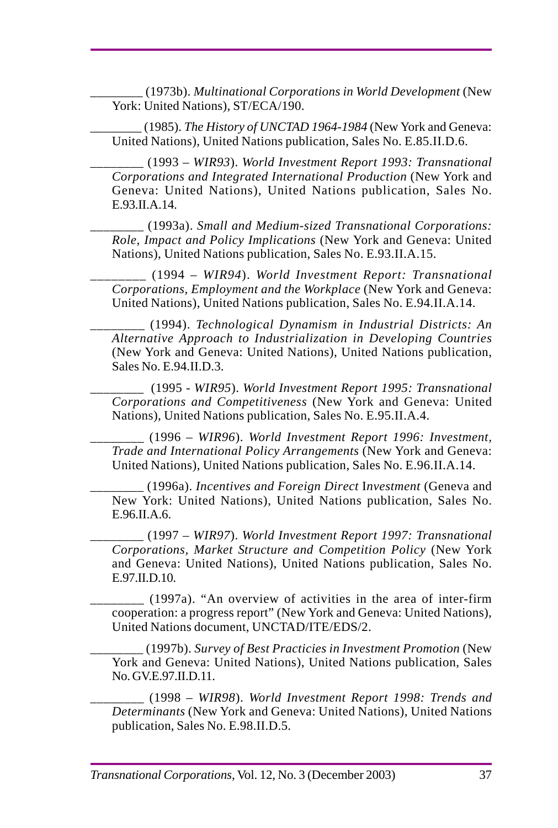\_\_\_\_\_\_\_\_ (1973b). *Multinational Corporations in World Development* (New York: United Nations), ST/ECA/190.

\_\_\_\_\_\_\_\_ (1985). *The History of UNCTAD 1964-1984* (New York and Geneva: United Nations), United Nations publication, Sales No. E.85.II.D.6.

\_\_\_\_\_\_\_\_ (1993 – *WIR93*). *World Investment Report 1993: Transnational Corporations and Integrated International Production* (New York and Geneva: United Nations), United Nations publication, Sales No. E.93 II.A.14

\_\_\_\_\_\_\_\_ (1993a). *Small and Medium-sized Transnational Corporations: Role, Impact and Policy Implications* (New York and Geneva: United Nations), United Nations publication, Sales No. E.93.II.A.15.

\_\_\_\_\_\_\_\_ (1994 – *WIR94*). *World Investment Report: Transnational Corporations, Employment and the Workplace* (New York and Geneva: United Nations), United Nations publication, Sales No. E.94.II.A.14.

\_\_\_\_\_\_\_\_ (1994). *Technological Dynamism in Industrial Districts: An Alternative Approach to Industrialization in Developing Countries* (New York and Geneva: United Nations), United Nations publication, Sales No. E.94.II.D.3.

\_\_\_\_\_\_\_\_ (1995 - *WIR95*). *World Investment Report 1995: Transnational Corporations and Competitiveness* (New York and Geneva: United Nations), United Nations publication, Sales No. E.95.II.A.4.

\_\_\_\_\_\_\_\_ (1996 – *WIR96*). *World Investment Report 1996: Investment, Trade and International Policy Arrangements* (New York and Geneva: United Nations), United Nations publication, Sales No. E.96.II.A.14.

\_\_\_\_\_\_\_\_ (1996a). *Incentives and Foreign Direct* I*nvestment* (Geneva and New York: United Nations), United Nations publication, Sales No.  $E.96$  II.A.6.

\_\_\_\_\_\_\_\_ (1997 – *WIR97*). *World Investment Report 1997: Transnational Corporations, Market Structure and Competition Policy* (New York and Geneva: United Nations), United Nations publication, Sales No. E.97.II.D.10.

\_\_\_\_\_\_\_\_ (1997a). "An overview of activities in the area of inter-firm cooperation: a progress report" (New York and Geneva: United Nations), United Nations document, UNCTAD/ITE/EDS/2.

\_\_\_\_\_\_\_\_ (1997b). *Survey of Best Practicies in Investment Promotion* (New York and Geneva: United Nations), United Nations publication, Sales No. GV.E.97.II.D.11.

\_\_\_\_\_\_\_\_ (1998 – *WIR98*). *World Investment Report 1998: Trends and Determinants* (New York and Geneva: United Nations), United Nations publication, Sales No. E.98.II.D.5.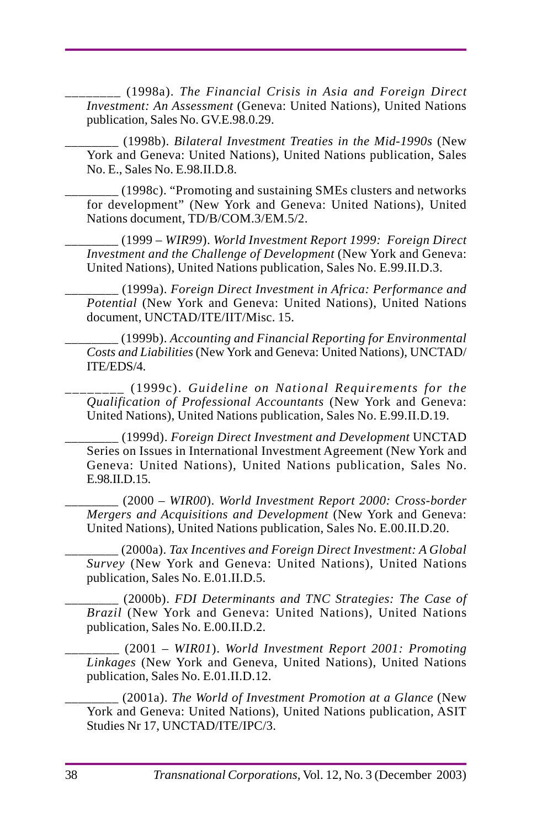\_\_\_\_\_\_\_\_ (1998a). *The Financial Crisis in Asia and Foreign Direct Investment: An Assessment* (Geneva: United Nations), United Nations publication, Sales No. GV.E.98.0.29.

\_\_\_\_\_\_\_\_ (1998b). *Bilateral Investment Treaties in the Mid-1990s* (New York and Geneva: United Nations), United Nations publication, Sales No. E., Sales No. E.98.II.D.8.

\_\_\_\_\_\_\_\_ (1998c). "Promoting and sustaining SMEs clusters and networks for development" (New York and Geneva: United Nations), United Nations document, TD/B/COM.3/EM.5/2.

\_\_\_\_\_\_\_\_ (1999 – *WIR99*). *World Investment Report 1999: Foreign Direct Investment and the Challenge of Development* (New York and Geneva: United Nations), United Nations publication, Sales No. E.99.II.D.3.

\_\_\_\_\_\_\_\_ (1999a). *Foreign Direct Investment in Africa: Performance and Potential* (New York and Geneva: United Nations), United Nations document, UNCTAD/ITE/IIT/Misc. 15.

\_\_\_\_\_\_\_\_ (1999b). *Accounting and Financial Reporting for Environmental Costs and Liabilities* (New York and Geneva: United Nations), UNCTAD/ ITE/EDS/4.

\_\_\_\_\_\_\_\_ (1999c). *Guideline on National Requirements for the Qualification of Professional Accountants* (New York and Geneva: United Nations), United Nations publication, Sales No. E.99.II.D.19.

\_\_\_\_\_\_\_\_ (1999d). *Foreign Direct Investment and Development* UNCTAD Series on Issues in International Investment Agreement (New York and Geneva: United Nations), United Nations publication, Sales No. E.98.II.D.15.

\_\_\_\_\_\_\_\_ (2000 – *WIR00*). *World Investment Report 2000: Cross-border Mergers and Acquisitions and Development* (New York and Geneva: United Nations), United Nations publication, Sales No. E.00.II.D.20.

\_\_\_\_\_\_\_\_ (2000a). *Tax Incentives and Foreign Direct Investment: A Global Survey* (New York and Geneva: United Nations), United Nations publication, Sales No. E.01.II.D.5.

\_\_\_\_\_\_\_\_ (2000b). *FDI Determinants and TNC Strategies: The Case of Brazil* (New York and Geneva: United Nations), United Nations publication, Sales No. E.00.II.D.2.

\_\_\_\_\_\_\_\_ (2001 – *WIR01*). *World Investment Report 2001: Promoting Linkages* (New York and Geneva, United Nations), United Nations publication, Sales No. E.01.II.D.12.

\_\_\_\_\_\_\_\_ (2001a). *The World of Investment Promotion at a Glance* (New York and Geneva: United Nations), United Nations publication, ASIT Studies Nr 17, UNCTAD/ITE/IPC/3.